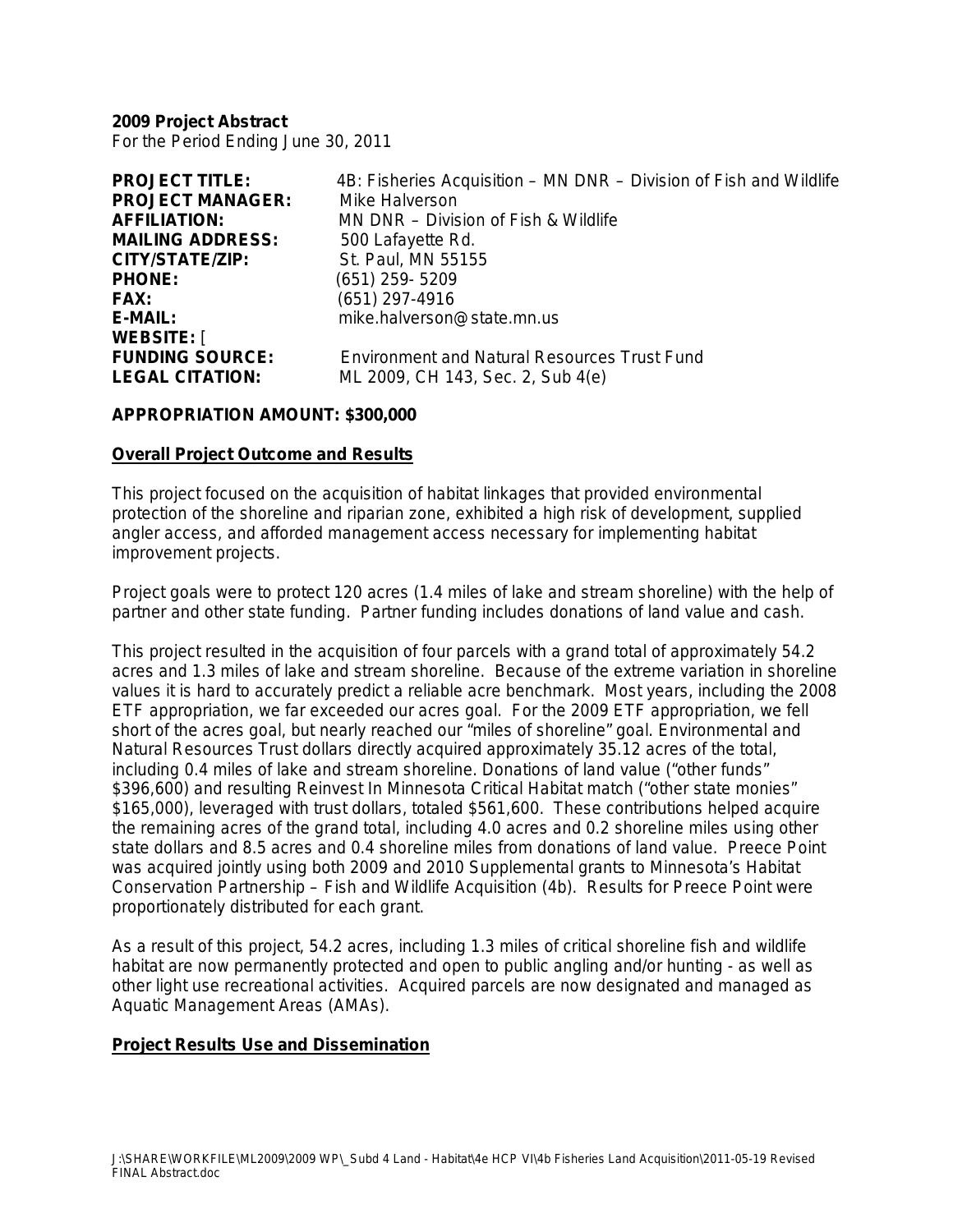**2009 Project Abstract** For the Period Ending June 30, 2011

| 4B: Fisheries Acquisition - MN DNR - Division of Fish and Wildlife |
|--------------------------------------------------------------------|
| Mike Halverson                                                     |
| MN DNR - Division of Fish & Wildlife                               |
| 500 Lafayette Rd.                                                  |
| St. Paul, MN 55155                                                 |
| $(651)$ 259-5209                                                   |
| $(651)$ 297-4916                                                   |
| mike.halverson@state.mn.us                                         |
|                                                                    |
| <b>Environment and Natural Resources Trust Fund</b>                |
| ML 2009, CH 143, Sec. 2, Sub 4(e)                                  |
|                                                                    |

#### **APPROPRIATION AMOUNT: \$300,000**

#### **Overall Project Outcome and Results**

This project focused on the acquisition of habitat linkages that provided environmental protection of the shoreline and riparian zone, exhibited a high risk of development, supplied angler access, and afforded management access necessary for implementing habitat improvement projects.

Project goals were to protect 120 acres (1.4 miles of lake and stream shoreline) with the help of partner and other state funding. Partner funding includes donations of land value and cash.

This project resulted in the acquisition of four parcels with a grand total of approximately 54.2 acres and 1.3 miles of lake and stream shoreline. Because of the extreme variation in shoreline values it is hard to accurately predict a reliable acre benchmark. Most years, including the 2008 ETF appropriation, we far exceeded our acres goal. For the 2009 ETF appropriation, we fell short of the acres goal, but nearly reached our "miles of shoreline" goal. Environmental and Natural Resources Trust dollars directly acquired approximately 35.12 acres of the total, including 0.4 miles of lake and stream shoreline. Donations of land value ("other funds" \$396,600) and resulting Reinvest In Minnesota Critical Habitat match ("other state monies" \$165,000), leveraged with trust dollars, totaled \$561,600. These contributions helped acquire the remaining acres of the grand total, including 4.0 acres and 0.2 shoreline miles using other state dollars and 8.5 acres and 0.4 shoreline miles from donations of land value. Preece Point was acquired jointly using both 2009 and 2010 Supplemental grants to Minnesota's Habitat Conservation Partnership – Fish and Wildlife Acquisition (4b). Results for Preece Point were proportionately distributed for each grant.

As a result of this project, 54.2 acres, including 1.3 miles of critical shoreline fish and wildlife habitat are now permanently protected and open to public angling and/or hunting - as well as other light use recreational activities. Acquired parcels are now designated and managed as Aquatic Management Areas (AMAs).

#### **Project Results Use and Dissemination**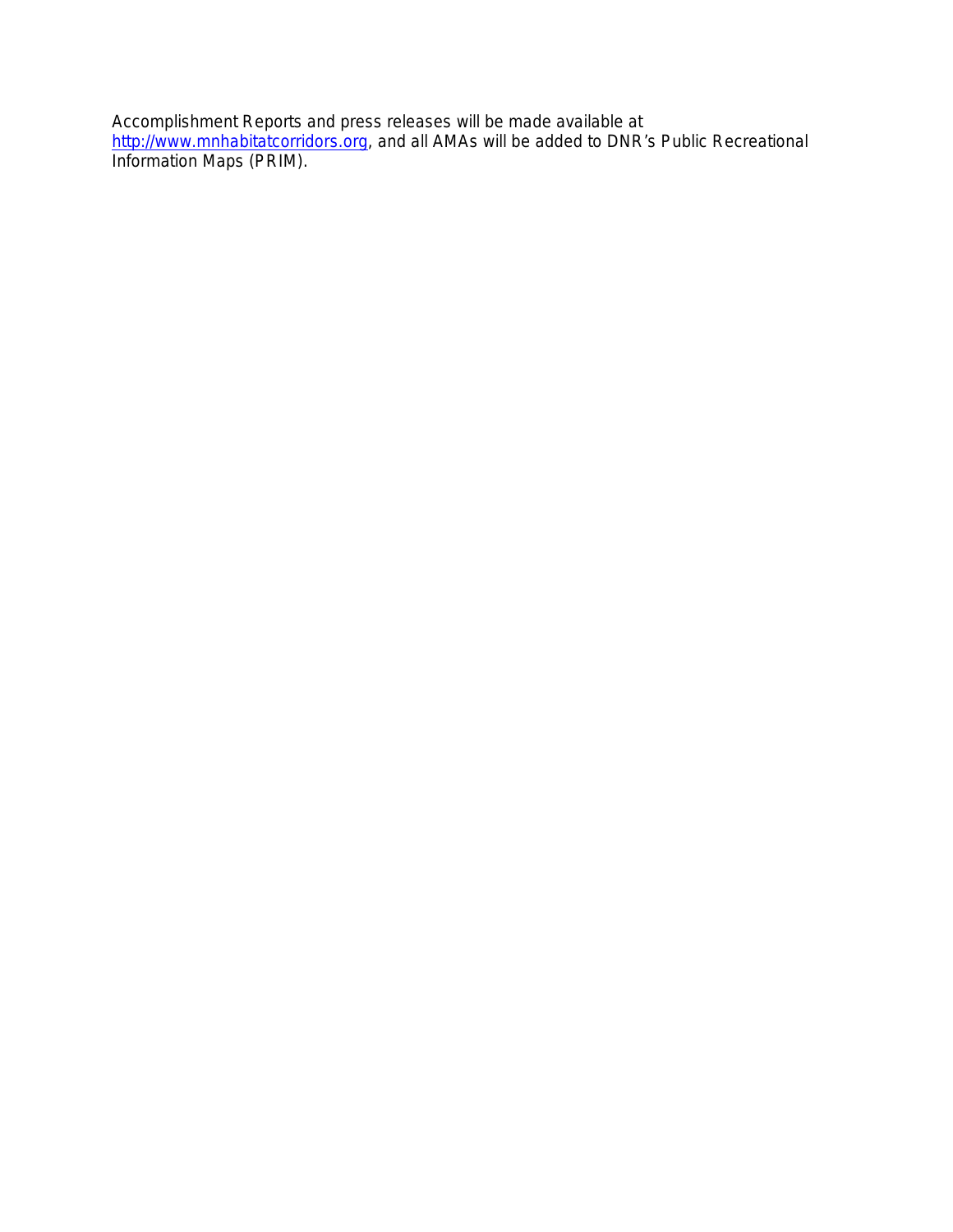Accomplishment Reports and press releases will be made available at [http://www.mnhabitatcorridors.org,](http://www.mnhabitatcorridors.org/) and all AMAs will be added to DNR's Public Recreational Information Maps (PRIM).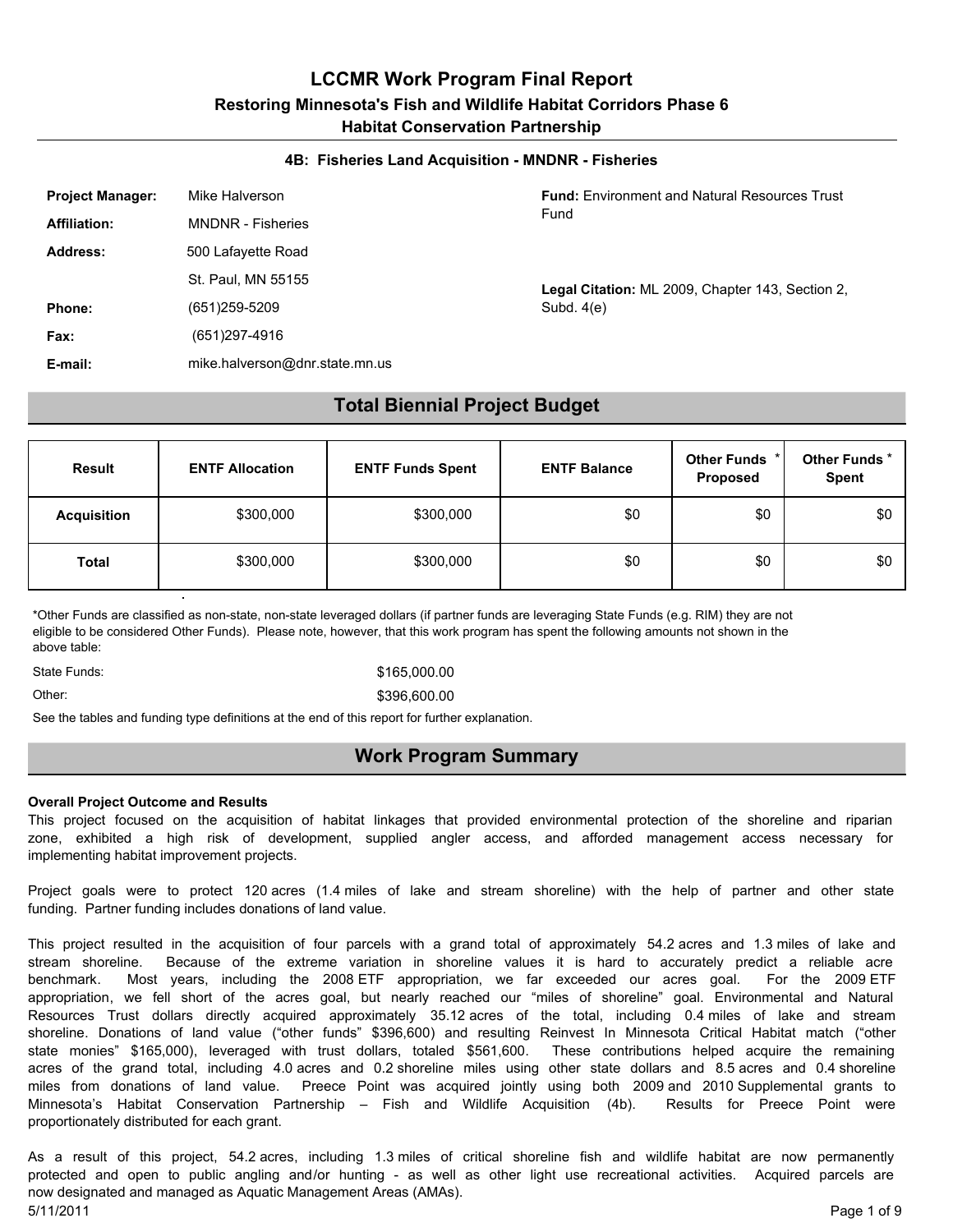#### **4B: Fisheries Land Acquisition - MNDNR - Fisheries**

| <b>Project Manager:</b> | Mike Halverson                 | <b>Fund:</b> Environment and Natural Resources Trust |
|-------------------------|--------------------------------|------------------------------------------------------|
| <b>Affiliation:</b>     | <b>MNDNR - Fisheries</b>       | Fund                                                 |
| <b>Address:</b>         | 500 Lafayette Road             |                                                      |
|                         | St. Paul, MN 55155             | Legal Citation: ML 2009, Chapter 143, Section 2,     |
| Phone:                  | (651)259-5209                  | Subd. $4(e)$                                         |
| Fax:                    | (651)297-4916                  |                                                      |
| E-mail:                 | mike.halverson@dnr.state.mn.us |                                                      |

#### **Total Biennial Project Budget**

| <b>Result</b>      | <b>ENTF Allocation</b> | <b>ENTF Funds Spent</b> | <b>ENTF Balance</b> | Other Funds *<br>Proposed | Other Funds*<br>Spent |
|--------------------|------------------------|-------------------------|---------------------|---------------------------|-----------------------|
| <b>Acquisition</b> | \$300,000              | \$300,000               | \$0                 | \$0                       | \$0                   |
| <b>Total</b>       | \$300,000              | \$300,000               | \$0                 | \$0                       | \$0                   |

\*Other Funds are classified as non-state, non-state leveraged dollars (if partner funds are leveraging State Funds (e.g. RIM) they are not eligible to be considered Other Funds). Please note, however, that this work program has spent the following amounts not shown in the above table:

State Funds: \$165,000.00

#### Other: \$396,600.00

See the tables and funding type definitions at the end of this report for further explanation.

#### **Work Program Summary**

#### **Overall Project Outcome and Results**

This project focused on the acquisition of habitat linkages that provided environmental protection of the shoreline and riparian zone, exhibited a high risk of development, supplied angler access, and afforded management access necessary for implementing habitat improvement projects.

Project goals were to protect 120 acres (1.4 miles of lake and stream shoreline) with the help of partner and other state funding. Partner funding includes donations of land value.

This project resulted in the acquisition of four parcels with a grand total of approximately 54.2 acres and 1.3 miles of lake and stream shoreline. Because of the extreme variation in shoreline values it is hard to accurately predict a reliable acre benchmark. Most years, including the 2008 ETF appropriation, we far exceeded our acres goal. For the 2009 ETF appropriation, we fell short of the acres goal, but nearly reached our "miles of shoreline" goal. Environmental and Natural Resources Trust dollars directly acquired approximately 35.12 acres of the total, including 0.4 miles of lake and stream shoreline. Donations of land value ("other funds" \$396,600) and resulting Reinvest In Minnesota Critical Habitat match ("other state monies" \$165,000), leveraged with trust dollars, totaled \$561,600. These contributions helped acquire the remaining acres of the grand total, including 4.0 acres and 0.2 shoreline miles using other state dollars and 8.5 acres and 0.4 shoreline miles from donations of land value. Preece Point was acquired jointly using both 2009 and 2010 Supplemental grants to Minnesota's Habitat Conservation Partnership – Fish and Wildlife Acquisition (4b). Results for Preece Point were proportionately distributed for each grant.

As a result of this project, 54.2 acres, including 1.3 miles of critical shoreline fish and wildlife habitat are now permanently protected and open to public angling and/or hunting - as well as other light use recreational activities. Acquired parcels are now designated and managed as Aquatic Management Areas (AMAs). 5/11/2011 Page 1 of 9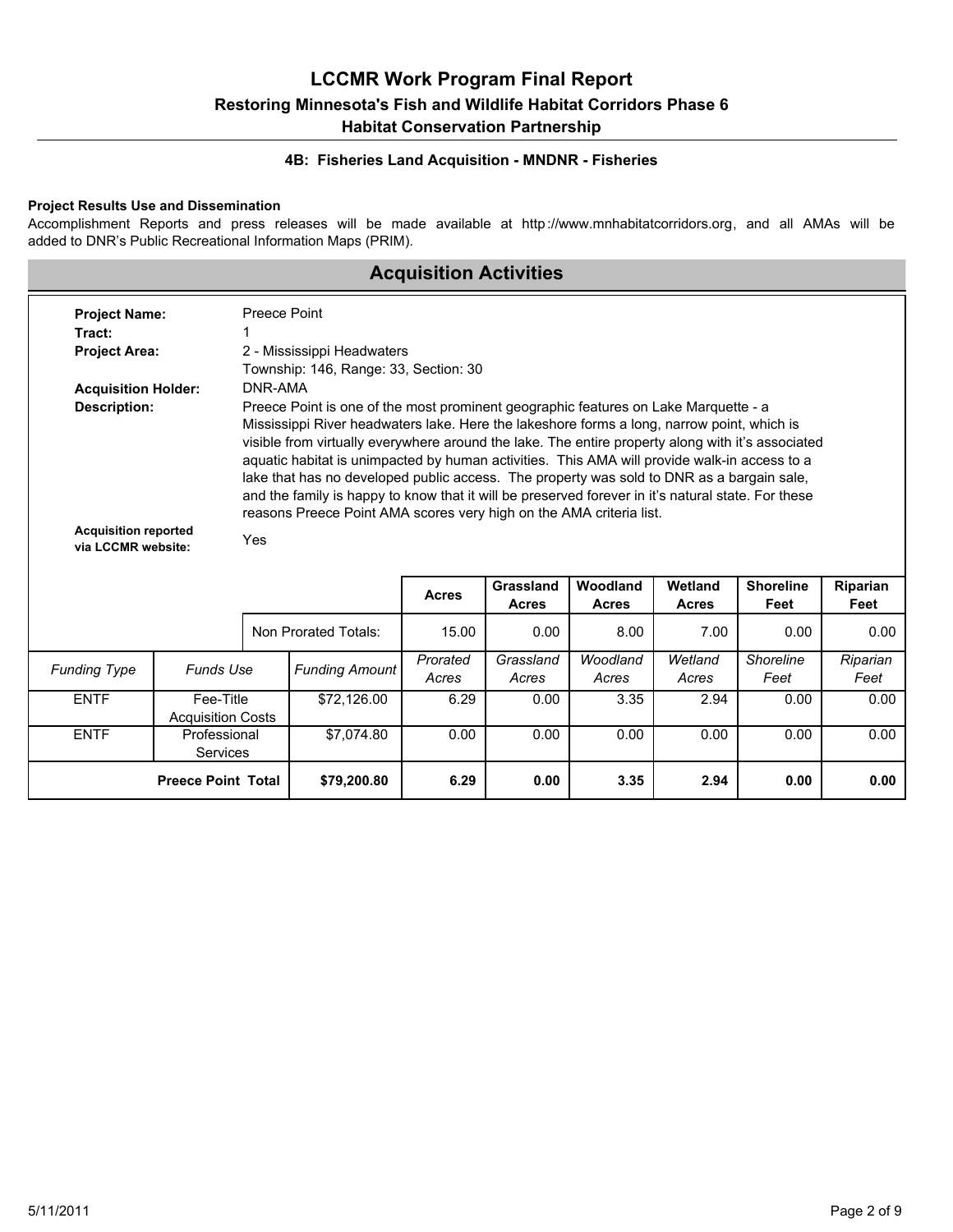#### **4B: Fisheries Land Acquisition - MNDNR - Fisheries**

#### **Project Results Use and Dissemination**

Accomplishment Reports and press releases will be made available at http://www.mnhabitatcorridors.org, and all AMAs will be added to DNR's Public Recreational Information Maps (PRIM).

## **Acquisition Activities**

| <b>Project Name:</b><br>Tract:                    |                                                          | Preece Point |                                                                                                                                                                                                                                                                                                                                                                                                                                                                                                                                                                           |                   |                           |                   |                         |                          |                  |  |
|---------------------------------------------------|----------------------------------------------------------|--------------|---------------------------------------------------------------------------------------------------------------------------------------------------------------------------------------------------------------------------------------------------------------------------------------------------------------------------------------------------------------------------------------------------------------------------------------------------------------------------------------------------------------------------------------------------------------------------|-------------------|---------------------------|-------------------|-------------------------|--------------------------|------------------|--|
| <b>Project Area:</b>                              |                                                          |              | 2 - Mississippi Headwaters                                                                                                                                                                                                                                                                                                                                                                                                                                                                                                                                                |                   |                           |                   |                         |                          |                  |  |
|                                                   |                                                          |              | Township: 146, Range: 33, Section: 30                                                                                                                                                                                                                                                                                                                                                                                                                                                                                                                                     |                   |                           |                   |                         |                          |                  |  |
| <b>Acquisition Holder:</b><br><b>Description:</b> |                                                          | DNR-AMA      | Preece Point is one of the most prominent geographic features on Lake Marquette - a                                                                                                                                                                                                                                                                                                                                                                                                                                                                                       |                   |                           |                   |                         |                          |                  |  |
|                                                   |                                                          |              | Mississippi River headwaters lake. Here the lakeshore forms a long, narrow point, which is<br>visible from virtually everywhere around the lake. The entire property along with it's associated<br>aquatic habitat is unimpacted by human activities. This AMA will provide walk-in access to a<br>lake that has no developed public access. The property was sold to DNR as a bargain sale,<br>and the family is happy to know that it will be preserved forever in it's natural state. For these<br>reasons Preece Point AMA scores very high on the AMA criteria list. |                   |                           |                   |                         |                          |                  |  |
|                                                   | <b>Acquisition reported</b><br>Yes<br>via LCCMR website: |              |                                                                                                                                                                                                                                                                                                                                                                                                                                                                                                                                                                           |                   |                           | Woodland          |                         |                          |                  |  |
|                                                   |                                                          |              |                                                                                                                                                                                                                                                                                                                                                                                                                                                                                                                                                                           | <b>Acres</b>      | Grassland<br><b>Acres</b> | <b>Acres</b>      | Wetland<br><b>Acres</b> | <b>Shoreline</b><br>Feet | Riparian<br>Feet |  |
|                                                   |                                                          |              | Non Prorated Totals:                                                                                                                                                                                                                                                                                                                                                                                                                                                                                                                                                      | 15.00             | 0.00                      | 8.00              | 7.00                    | 0.00                     | 0.00             |  |
| <b>Funding Type</b>                               | <b>Funds Use</b>                                         |              | <b>Funding Amount</b>                                                                                                                                                                                                                                                                                                                                                                                                                                                                                                                                                     | Prorated<br>Acres | Grassland<br>Acres        | Woodland<br>Acres | Wetland<br>Acres        | Shoreline<br>Feet        | Riparian<br>Feet |  |
| <b>ENTF</b>                                       | Fee-Title<br><b>Acquisition Costs</b>                    | \$72,126.00  |                                                                                                                                                                                                                                                                                                                                                                                                                                                                                                                                                                           | 6.29              | 0.00                      | 3.35              | 2.94                    | 0.00                     | 0.00             |  |
| <b>ENTF</b>                                       | Professional<br><b>Services</b>                          |              | \$7.074.80                                                                                                                                                                                                                                                                                                                                                                                                                                                                                                                                                                | 0.00              | 0.00                      | 0.00              | 0.00                    | 0.00                     | 0.00             |  |
|                                                   | <b>Preece Point Total</b>                                |              | \$79,200.80                                                                                                                                                                                                                                                                                                                                                                                                                                                                                                                                                               | 6.29              | 0.00                      | 3.35              | 2.94                    | 0.00                     | 0.00             |  |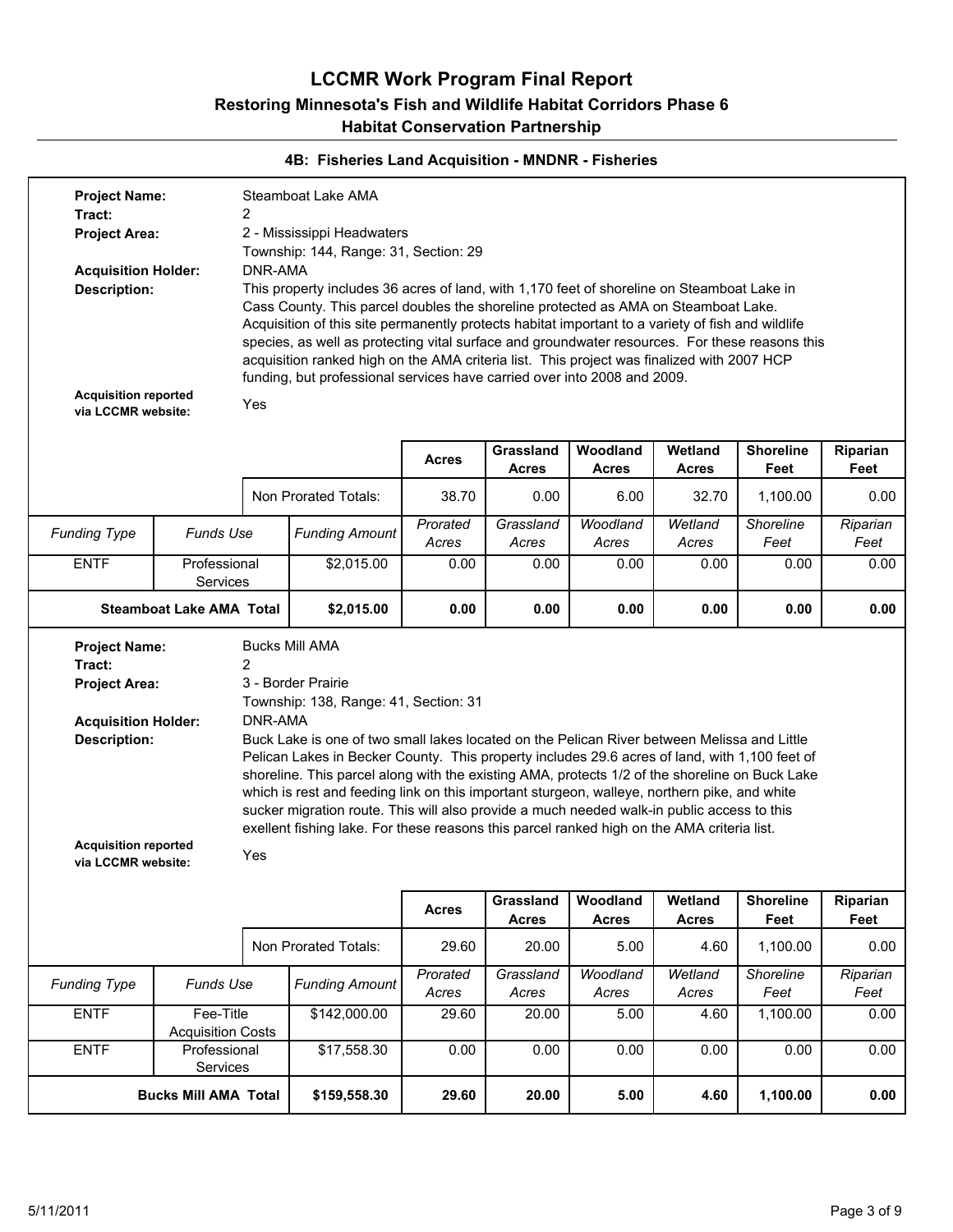| $\overline{2}$<br>Tract:<br>2 - Mississippi Headwaters<br><b>Project Area:</b><br>Township: 144, Range: 31, Section: 29<br>DNR-AMA<br><b>Acquisition Holder:</b><br>This property includes 36 acres of land, with 1,170 feet of shoreline on Steamboat Lake in<br><b>Description:</b><br>Cass County. This parcel doubles the shoreline protected as AMA on Steamboat Lake.<br>Acquisition of this site permanently protects habitat important to a variety of fish and wildlife<br>species, as well as protecting vital surface and groundwater resources. For these reasons this<br>acquisition ranked high on the AMA criteria list. This project was finalized with 2007 HCP<br>funding, but professional services have carried over into 2008 and 2009.<br><b>Acquisition reported</b><br>Yes<br>via LCCMR website:<br>Grassland<br>Woodland<br>Wetland<br><b>Shoreline</b><br>Acres<br>Feet<br><b>Acres</b><br><b>Acres</b><br><b>Acres</b><br>Feet<br>Non Prorated Totals:<br>38.70<br>0.00<br>6.00<br>32.70<br>1.100.00<br>Grassland<br>Woodland<br>Wetland<br>Prorated<br>Shoreline<br>Funds Use<br><b>Funding Type</b><br><b>Funding Amount</b><br>Acres<br>Acres<br>Acres<br>Acres<br>Feet<br><b>ENTF</b><br>\$2,015.00<br>0.00<br>Professional<br>0.00<br>0.00<br>0.00<br>0.00<br>Services<br>0.00<br>0.00<br>0.00<br><b>Steamboat Lake AMA Total</b><br>\$2,015.00<br>0.00<br>0.00<br><b>Bucks Mill AMA</b><br><b>Project Name:</b><br>$\overline{2}$<br>Tract:<br>3 - Border Prairie<br><b>Project Area:</b><br>Township: 138, Range: 41, Section: 31<br>DNR-AMA<br><b>Acquisition Holder:</b><br>Buck Lake is one of two small lakes located on the Pelican River between Melissa and Little<br><b>Description:</b><br>Pelican Lakes in Becker County. This property includes 29.6 acres of land, with 1,100 feet of<br>shoreline. This parcel along with the existing AMA, protects 1/2 of the shoreline on Buck Lake<br>which is rest and feeding link on this important sturgeon, walleye, northern pike, and white<br>sucker migration route. This will also provide a much needed walk-in public access to this<br>exellent fishing lake. For these reasons this parcel ranked high on the AMA criteria list.<br><b>Acquisition reported</b><br>Yes<br>via LCCMR website:<br>Woodland<br>Grassland<br>Wetland<br><b>Shoreline</b><br><b>Acres</b><br>Feet<br>Feet<br><b>Acres</b><br><b>Acres</b><br><b>Acres</b><br>Non Prorated Totals:<br>29.60<br>20.00<br>5.00<br>4.60<br>1,100.00<br>Wetland<br>Prorated<br>Grassland<br>Woodland<br>Shoreline<br><b>Funding Type</b><br><b>Funds Use</b><br><b>Funding Amount</b><br>Feet<br>Acres<br>Acres<br>Acres<br>Acres<br><b>ENTF</b><br>Fee-Title<br>5.00<br>\$142,000.00<br>29.60<br>20.00<br>4.60<br>1,100.00<br><b>Acquisition Costs</b><br><b>ENTF</b><br>0.00<br>0.00<br>0.00<br>0.00<br>Professional<br>\$17,558.30<br>0.00<br><b>Services</b><br>29.60<br>20.00<br>5.00<br>1,100.00<br><b>Bucks Mill AMA Total</b><br>\$159,558.30<br>4.60 | <b>Project Name:</b> |  | Steamboat Lake AMA |  |  |                  |
|----------------------------------------------------------------------------------------------------------------------------------------------------------------------------------------------------------------------------------------------------------------------------------------------------------------------------------------------------------------------------------------------------------------------------------------------------------------------------------------------------------------------------------------------------------------------------------------------------------------------------------------------------------------------------------------------------------------------------------------------------------------------------------------------------------------------------------------------------------------------------------------------------------------------------------------------------------------------------------------------------------------------------------------------------------------------------------------------------------------------------------------------------------------------------------------------------------------------------------------------------------------------------------------------------------------------------------------------------------------------------------------------------------------------------------------------------------------------------------------------------------------------------------------------------------------------------------------------------------------------------------------------------------------------------------------------------------------------------------------------------------------------------------------------------------------------------------------------------------------------------------------------------------------------------------------------------------------------------------------------------------------------------------------------------------------------------------------------------------------------------------------------------------------------------------------------------------------------------------------------------------------------------------------------------------------------------------------------------------------------------------------------------------------------------------------------------------------------------------------------------------------------------------------------------------------------------------------------------------------------------------------------------------------------------------------------------------------------------------------------------------------------------------------------------------------------------------------------------------------------------------------------------------------------------------------------------------------------------------------------------------------------|----------------------|--|--------------------|--|--|------------------|
|                                                                                                                                                                                                                                                                                                                                                                                                                                                                                                                                                                                                                                                                                                                                                                                                                                                                                                                                                                                                                                                                                                                                                                                                                                                                                                                                                                                                                                                                                                                                                                                                                                                                                                                                                                                                                                                                                                                                                                                                                                                                                                                                                                                                                                                                                                                                                                                                                                                                                                                                                                                                                                                                                                                                                                                                                                                                                                                                                                                                                      |                      |  |                    |  |  |                  |
|                                                                                                                                                                                                                                                                                                                                                                                                                                                                                                                                                                                                                                                                                                                                                                                                                                                                                                                                                                                                                                                                                                                                                                                                                                                                                                                                                                                                                                                                                                                                                                                                                                                                                                                                                                                                                                                                                                                                                                                                                                                                                                                                                                                                                                                                                                                                                                                                                                                                                                                                                                                                                                                                                                                                                                                                                                                                                                                                                                                                                      |                      |  |                    |  |  |                  |
|                                                                                                                                                                                                                                                                                                                                                                                                                                                                                                                                                                                                                                                                                                                                                                                                                                                                                                                                                                                                                                                                                                                                                                                                                                                                                                                                                                                                                                                                                                                                                                                                                                                                                                                                                                                                                                                                                                                                                                                                                                                                                                                                                                                                                                                                                                                                                                                                                                                                                                                                                                                                                                                                                                                                                                                                                                                                                                                                                                                                                      |                      |  |                    |  |  |                  |
|                                                                                                                                                                                                                                                                                                                                                                                                                                                                                                                                                                                                                                                                                                                                                                                                                                                                                                                                                                                                                                                                                                                                                                                                                                                                                                                                                                                                                                                                                                                                                                                                                                                                                                                                                                                                                                                                                                                                                                                                                                                                                                                                                                                                                                                                                                                                                                                                                                                                                                                                                                                                                                                                                                                                                                                                                                                                                                                                                                                                                      |                      |  |                    |  |  |                  |
|                                                                                                                                                                                                                                                                                                                                                                                                                                                                                                                                                                                                                                                                                                                                                                                                                                                                                                                                                                                                                                                                                                                                                                                                                                                                                                                                                                                                                                                                                                                                                                                                                                                                                                                                                                                                                                                                                                                                                                                                                                                                                                                                                                                                                                                                                                                                                                                                                                                                                                                                                                                                                                                                                                                                                                                                                                                                                                                                                                                                                      |                      |  |                    |  |  |                  |
|                                                                                                                                                                                                                                                                                                                                                                                                                                                                                                                                                                                                                                                                                                                                                                                                                                                                                                                                                                                                                                                                                                                                                                                                                                                                                                                                                                                                                                                                                                                                                                                                                                                                                                                                                                                                                                                                                                                                                                                                                                                                                                                                                                                                                                                                                                                                                                                                                                                                                                                                                                                                                                                                                                                                                                                                                                                                                                                                                                                                                      |                      |  |                    |  |  | Riparian         |
|                                                                                                                                                                                                                                                                                                                                                                                                                                                                                                                                                                                                                                                                                                                                                                                                                                                                                                                                                                                                                                                                                                                                                                                                                                                                                                                                                                                                                                                                                                                                                                                                                                                                                                                                                                                                                                                                                                                                                                                                                                                                                                                                                                                                                                                                                                                                                                                                                                                                                                                                                                                                                                                                                                                                                                                                                                                                                                                                                                                                                      |                      |  |                    |  |  | 0.00             |
|                                                                                                                                                                                                                                                                                                                                                                                                                                                                                                                                                                                                                                                                                                                                                                                                                                                                                                                                                                                                                                                                                                                                                                                                                                                                                                                                                                                                                                                                                                                                                                                                                                                                                                                                                                                                                                                                                                                                                                                                                                                                                                                                                                                                                                                                                                                                                                                                                                                                                                                                                                                                                                                                                                                                                                                                                                                                                                                                                                                                                      |                      |  |                    |  |  | Riparian<br>Feet |
|                                                                                                                                                                                                                                                                                                                                                                                                                                                                                                                                                                                                                                                                                                                                                                                                                                                                                                                                                                                                                                                                                                                                                                                                                                                                                                                                                                                                                                                                                                                                                                                                                                                                                                                                                                                                                                                                                                                                                                                                                                                                                                                                                                                                                                                                                                                                                                                                                                                                                                                                                                                                                                                                                                                                                                                                                                                                                                                                                                                                                      |                      |  |                    |  |  | 0.00             |
|                                                                                                                                                                                                                                                                                                                                                                                                                                                                                                                                                                                                                                                                                                                                                                                                                                                                                                                                                                                                                                                                                                                                                                                                                                                                                                                                                                                                                                                                                                                                                                                                                                                                                                                                                                                                                                                                                                                                                                                                                                                                                                                                                                                                                                                                                                                                                                                                                                                                                                                                                                                                                                                                                                                                                                                                                                                                                                                                                                                                                      |                      |  |                    |  |  | 0.00             |
|                                                                                                                                                                                                                                                                                                                                                                                                                                                                                                                                                                                                                                                                                                                                                                                                                                                                                                                                                                                                                                                                                                                                                                                                                                                                                                                                                                                                                                                                                                                                                                                                                                                                                                                                                                                                                                                                                                                                                                                                                                                                                                                                                                                                                                                                                                                                                                                                                                                                                                                                                                                                                                                                                                                                                                                                                                                                                                                                                                                                                      |                      |  |                    |  |  |                  |
|                                                                                                                                                                                                                                                                                                                                                                                                                                                                                                                                                                                                                                                                                                                                                                                                                                                                                                                                                                                                                                                                                                                                                                                                                                                                                                                                                                                                                                                                                                                                                                                                                                                                                                                                                                                                                                                                                                                                                                                                                                                                                                                                                                                                                                                                                                                                                                                                                                                                                                                                                                                                                                                                                                                                                                                                                                                                                                                                                                                                                      |                      |  |                    |  |  | Riparian         |
|                                                                                                                                                                                                                                                                                                                                                                                                                                                                                                                                                                                                                                                                                                                                                                                                                                                                                                                                                                                                                                                                                                                                                                                                                                                                                                                                                                                                                                                                                                                                                                                                                                                                                                                                                                                                                                                                                                                                                                                                                                                                                                                                                                                                                                                                                                                                                                                                                                                                                                                                                                                                                                                                                                                                                                                                                                                                                                                                                                                                                      |                      |  |                    |  |  | 0.00             |
|                                                                                                                                                                                                                                                                                                                                                                                                                                                                                                                                                                                                                                                                                                                                                                                                                                                                                                                                                                                                                                                                                                                                                                                                                                                                                                                                                                                                                                                                                                                                                                                                                                                                                                                                                                                                                                                                                                                                                                                                                                                                                                                                                                                                                                                                                                                                                                                                                                                                                                                                                                                                                                                                                                                                                                                                                                                                                                                                                                                                                      |                      |  |                    |  |  | Riparian<br>Feet |
|                                                                                                                                                                                                                                                                                                                                                                                                                                                                                                                                                                                                                                                                                                                                                                                                                                                                                                                                                                                                                                                                                                                                                                                                                                                                                                                                                                                                                                                                                                                                                                                                                                                                                                                                                                                                                                                                                                                                                                                                                                                                                                                                                                                                                                                                                                                                                                                                                                                                                                                                                                                                                                                                                                                                                                                                                                                                                                                                                                                                                      |                      |  |                    |  |  | 0.00             |
|                                                                                                                                                                                                                                                                                                                                                                                                                                                                                                                                                                                                                                                                                                                                                                                                                                                                                                                                                                                                                                                                                                                                                                                                                                                                                                                                                                                                                                                                                                                                                                                                                                                                                                                                                                                                                                                                                                                                                                                                                                                                                                                                                                                                                                                                                                                                                                                                                                                                                                                                                                                                                                                                                                                                                                                                                                                                                                                                                                                                                      |                      |  |                    |  |  | 0.00             |
|                                                                                                                                                                                                                                                                                                                                                                                                                                                                                                                                                                                                                                                                                                                                                                                                                                                                                                                                                                                                                                                                                                                                                                                                                                                                                                                                                                                                                                                                                                                                                                                                                                                                                                                                                                                                                                                                                                                                                                                                                                                                                                                                                                                                                                                                                                                                                                                                                                                                                                                                                                                                                                                                                                                                                                                                                                                                                                                                                                                                                      |                      |  |                    |  |  | 0.00             |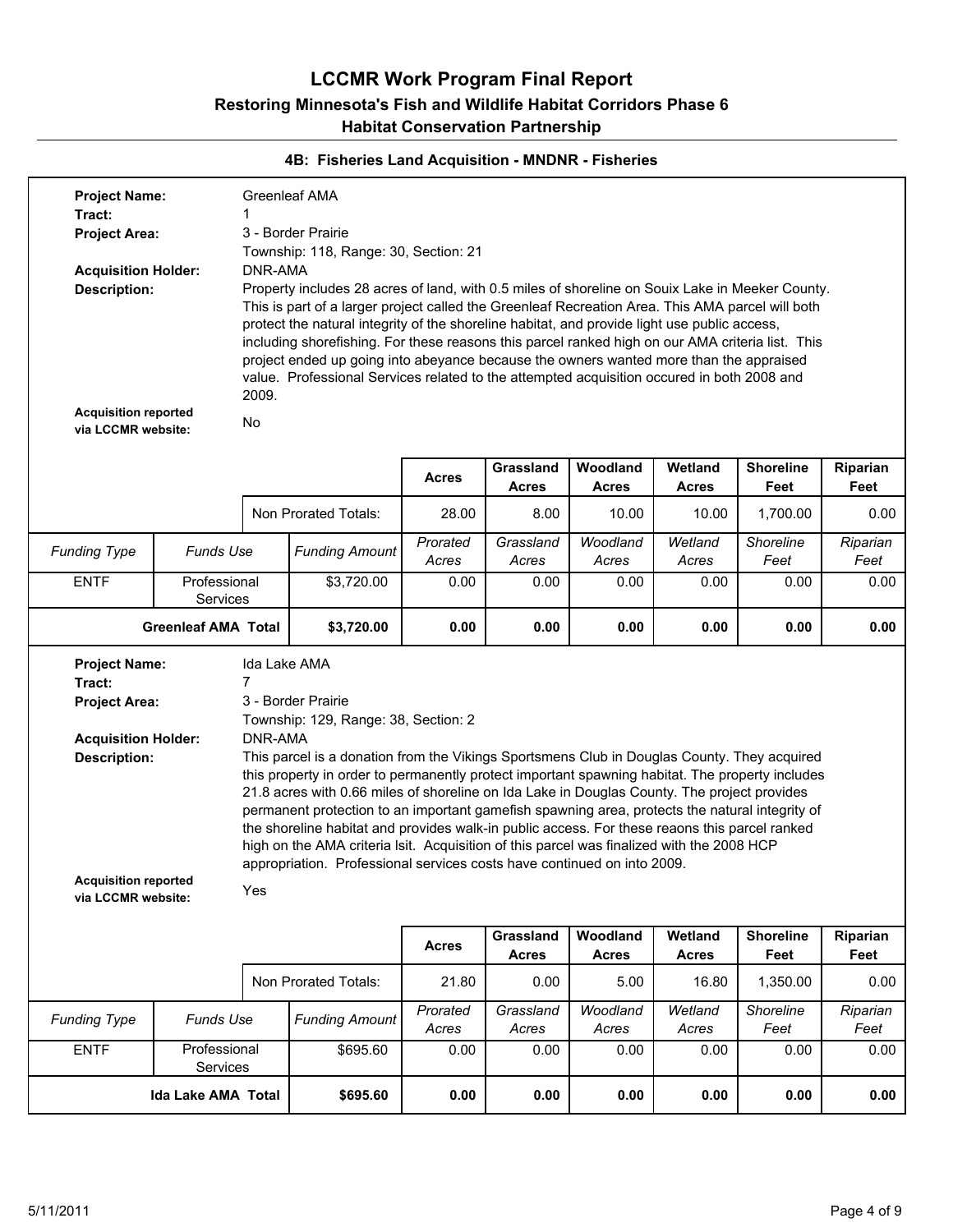| <b>Project Name:</b><br>Tract:<br><b>Project Area:</b>                                                                                                           |                            |                                                  | Greenleaf AMA<br>3 - Border Prairie<br>Township: 118, Range: 30, Section: 21                                                                                                                                                                                                                                                                                                                                                                                                                                                                                                                                                                                                                                                           |                   |                           |                          |                         |                          |                  |
|------------------------------------------------------------------------------------------------------------------------------------------------------------------|----------------------------|--------------------------------------------------|----------------------------------------------------------------------------------------------------------------------------------------------------------------------------------------------------------------------------------------------------------------------------------------------------------------------------------------------------------------------------------------------------------------------------------------------------------------------------------------------------------------------------------------------------------------------------------------------------------------------------------------------------------------------------------------------------------------------------------------|-------------------|---------------------------|--------------------------|-------------------------|--------------------------|------------------|
| <b>Acquisition Holder:</b><br><b>Description:</b><br><b>Acquisition reported</b><br>via LCCMR website:                                                           |                            | DNR-AMA<br>2009.<br>No                           | Property includes 28 acres of land, with 0.5 miles of shoreline on Souix Lake in Meeker County.<br>This is part of a larger project called the Greenleaf Recreation Area. This AMA parcel will both<br>protect the natural integrity of the shoreline habitat, and provide light use public access,<br>including shorefishing. For these reasons this parcel ranked high on our AMA criteria list. This<br>project ended up going into abeyance because the owners wanted more than the appraised<br>value. Professional Services related to the attempted acquisition occured in both 2008 and                                                                                                                                        |                   |                           |                          |                         |                          |                  |
|                                                                                                                                                                  |                            |                                                  |                                                                                                                                                                                                                                                                                                                                                                                                                                                                                                                                                                                                                                                                                                                                        | <b>Acres</b>      | Grassland<br><b>Acres</b> | Woodland<br><b>Acres</b> | Wetland<br><b>Acres</b> | <b>Shoreline</b><br>Feet | Riparian<br>Feet |
|                                                                                                                                                                  |                            |                                                  | Non Prorated Totals:                                                                                                                                                                                                                                                                                                                                                                                                                                                                                                                                                                                                                                                                                                                   | 28.00             | 8.00                      | 10.00                    | 10.00                   | 1,700.00                 | 0.00             |
| <b>Funding Type</b>                                                                                                                                              | <b>Funds Use</b>           |                                                  | <b>Funding Amount</b>                                                                                                                                                                                                                                                                                                                                                                                                                                                                                                                                                                                                                                                                                                                  | Prorated<br>Acres | Grassland<br>Acres        | Woodland<br>Acres        | Wetland<br>Acres        | Shoreline<br>Feet        | Riparian<br>Feet |
| <b>ENTF</b>                                                                                                                                                      | Professional<br>Services   |                                                  | \$3,720.00                                                                                                                                                                                                                                                                                                                                                                                                                                                                                                                                                                                                                                                                                                                             | 0.00              | 0.00                      | 0.00                     | 0.00                    | 0.00                     | 0.00             |
|                                                                                                                                                                  | <b>Greenleaf AMA Total</b> |                                                  | \$3,720.00                                                                                                                                                                                                                                                                                                                                                                                                                                                                                                                                                                                                                                                                                                                             | 0.00              | 0.00                      | 0.00                     | 0.00                    | 0.00                     | 0.00             |
| <b>Project Name:</b><br>Tract:<br><b>Project Area:</b><br><b>Acquisition Holder:</b><br><b>Description:</b><br><b>Acquisition reported</b><br>via LCCMR website: |                            | Ida Lake AMA<br>$\overline{7}$<br>DNR-AMA<br>Yes | 3 - Border Prairie<br>Township: 129, Range: 38, Section: 2<br>This parcel is a donation from the Vikings Sportsmens Club in Douglas County. They acquired<br>this property in order to permanently protect important spawning habitat. The property includes<br>21.8 acres with 0.66 miles of shoreline on Ida Lake in Douglas County. The project provides<br>permanent protection to an important gamefish spawning area, protects the natural integrity of<br>the shoreline habitat and provides walk-in public access. For these reaons this parcel ranked<br>high on the AMA criteria Isit. Acquisition of this parcel was finalized with the 2008 HCP<br>appropriation. Professional services costs have continued on into 2009. |                   |                           |                          |                         |                          |                  |
|                                                                                                                                                                  |                            |                                                  |                                                                                                                                                                                                                                                                                                                                                                                                                                                                                                                                                                                                                                                                                                                                        | <b>Acres</b>      | Grassland<br><b>Acres</b> | Woodland<br><b>Acres</b> | Wetland<br><b>Acres</b> | <b>Shoreline</b><br>Feet | Riparian<br>Feet |
|                                                                                                                                                                  |                            |                                                  | Non Prorated Totals:                                                                                                                                                                                                                                                                                                                                                                                                                                                                                                                                                                                                                                                                                                                   | 21.80             | 0.00                      | 5.00                     | 16.80                   | 1,350.00                 | 0.00             |
| <b>Funding Type</b>                                                                                                                                              | Funds Use                  |                                                  | <b>Funding Amount</b>                                                                                                                                                                                                                                                                                                                                                                                                                                                                                                                                                                                                                                                                                                                  | Prorated<br>Acres | Grassland<br>Acres        | Woodland<br>Acres        | Wetland<br>Acres        | Shoreline<br>Feet        | Riparian<br>Feet |
| <b>ENTF</b>                                                                                                                                                      | Professional<br>Services   |                                                  | \$695.60                                                                                                                                                                                                                                                                                                                                                                                                                                                                                                                                                                                                                                                                                                                               | 0.00              | 0.00                      | 0.00                     | 0.00                    | 0.00                     | 0.00             |
|                                                                                                                                                                  | Ida Lake AMA Total         |                                                  | \$695.60                                                                                                                                                                                                                                                                                                                                                                                                                                                                                                                                                                                                                                                                                                                               | 0.00              | 0.00                      | 0.00                     | 0.00                    | 0.00                     | 0.00             |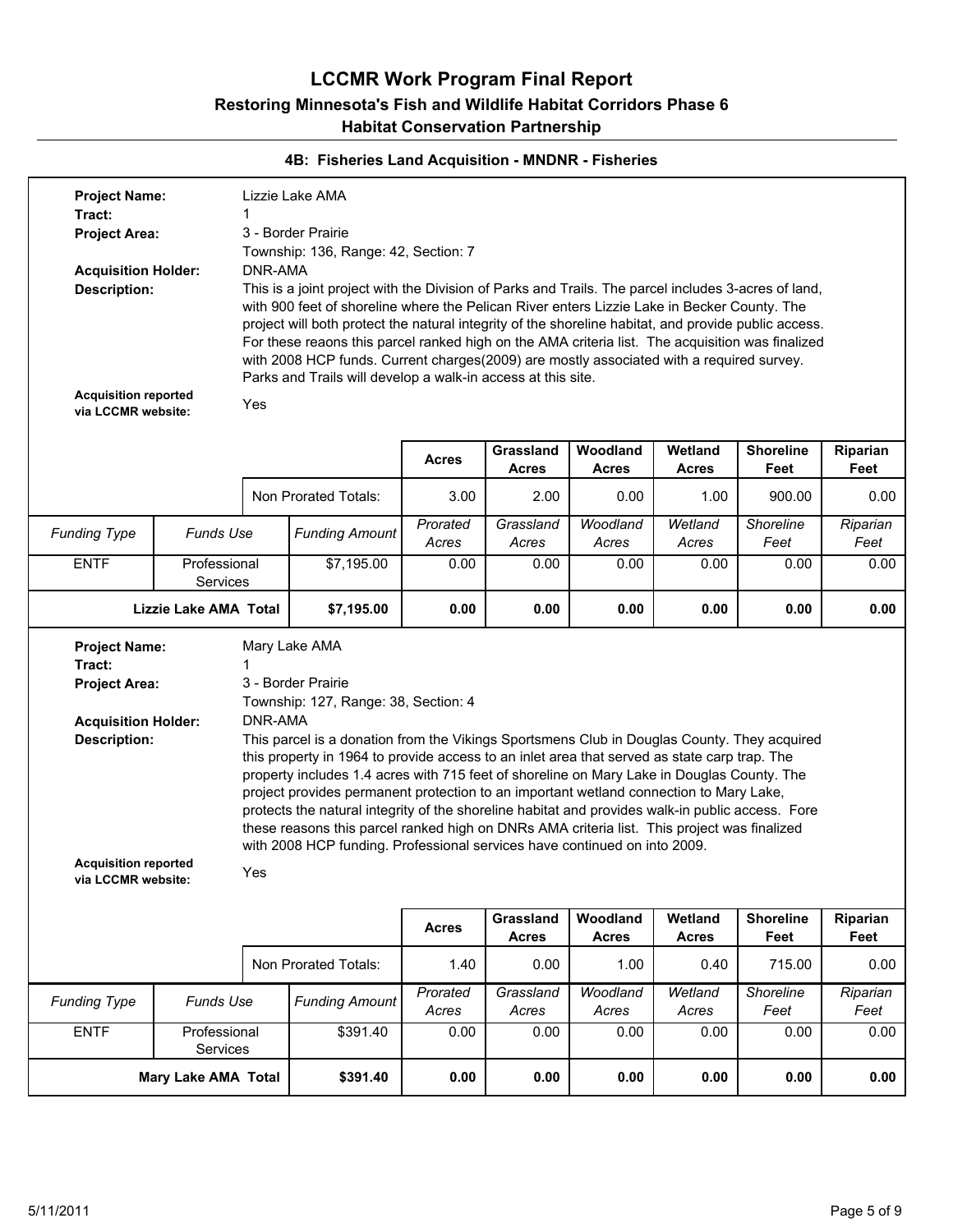| <b>Project Name:</b>                              |                          |         | Lizzie Lake AMA                                                                                                                                                                                          |                   |                           |                          |                         |                          |                  |
|---------------------------------------------------|--------------------------|---------|----------------------------------------------------------------------------------------------------------------------------------------------------------------------------------------------------------|-------------------|---------------------------|--------------------------|-------------------------|--------------------------|------------------|
| Tract:                                            |                          | 1       |                                                                                                                                                                                                          |                   |                           |                          |                         |                          |                  |
| <b>Project Area:</b>                              |                          |         | 3 - Border Prairie                                                                                                                                                                                       |                   |                           |                          |                         |                          |                  |
|                                                   |                          |         | Township: 136, Range: 42, Section: 7                                                                                                                                                                     |                   |                           |                          |                         |                          |                  |
| <b>Acquisition Holder:</b>                        |                          |         | DNR-AMA<br>This is a joint project with the Division of Parks and Trails. The parcel includes 3-acres of land,                                                                                           |                   |                           |                          |                         |                          |                  |
| <b>Description:</b>                               |                          |         |                                                                                                                                                                                                          |                   |                           |                          |                         |                          |                  |
|                                                   |                          |         | with 900 feet of shoreline where the Pelican River enters Lizzie Lake in Becker County. The                                                                                                              |                   |                           |                          |                         |                          |                  |
|                                                   |                          |         | project will both protect the natural integrity of the shoreline habitat, and provide public access.<br>For these reaons this parcel ranked high on the AMA criteria list. The acquisition was finalized |                   |                           |                          |                         |                          |                  |
|                                                   |                          |         | with 2008 HCP funds. Current charges(2009) are mostly associated with a required survey.                                                                                                                 |                   |                           |                          |                         |                          |                  |
|                                                   |                          |         | Parks and Trails will develop a walk-in access at this site.                                                                                                                                             |                   |                           |                          |                         |                          |                  |
| <b>Acquisition reported</b><br>via LCCMR website: |                          | Yes     |                                                                                                                                                                                                          |                   |                           |                          |                         |                          |                  |
|                                                   |                          |         |                                                                                                                                                                                                          |                   |                           |                          |                         |                          |                  |
|                                                   |                          |         |                                                                                                                                                                                                          | <b>Acres</b>      | Grassland                 | Woodland                 | Wetland                 | <b>Shoreline</b>         | Riparian         |
|                                                   |                          |         |                                                                                                                                                                                                          |                   | <b>Acres</b>              | <b>Acres</b>             | <b>Acres</b>            | Feet                     | Feet             |
|                                                   |                          |         | Non Prorated Totals:                                                                                                                                                                                     | 3.00              | 2.00                      | 0.00                     | 1.00                    | 900.00                   | 0.00             |
| <b>Funding Type</b>                               | <b>Funds Use</b>         |         | <b>Funding Amount</b>                                                                                                                                                                                    | Prorated<br>Acres | Grassland<br>Acres        | Woodland<br>Acres        | Wetland<br>Acres        | Shoreline<br>Feet        | Riparian<br>Feet |
| <b>ENTF</b>                                       | Professional<br>Services |         | \$7,195.00                                                                                                                                                                                               | 0.00              | 0.00                      | 0.00                     | 0.00                    | 0.00                     | 0.00             |
| <b>Lizzie Lake AMA Total</b>                      |                          |         | \$7,195.00                                                                                                                                                                                               | 0.00              | 0.00                      | 0.00                     | 0.00                    | 0.00                     | 0.00             |
|                                                   |                          |         |                                                                                                                                                                                                          |                   |                           |                          |                         |                          |                  |
| <b>Project Name:</b>                              |                          |         | Mary Lake AMA                                                                                                                                                                                            |                   |                           |                          |                         |                          |                  |
| Tract:                                            |                          |         |                                                                                                                                                                                                          |                   |                           |                          |                         |                          |                  |
| <b>Project Area:</b>                              |                          |         | 3 - Border Prairie                                                                                                                                                                                       |                   |                           |                          |                         |                          |                  |
|                                                   |                          |         | Township: 127, Range: 38, Section: 4                                                                                                                                                                     |                   |                           |                          |                         |                          |                  |
| <b>Acquisition Holder:</b>                        |                          | DNR-AMA |                                                                                                                                                                                                          |                   |                           |                          |                         |                          |                  |
| <b>Description:</b>                               |                          |         | This parcel is a donation from the Vikings Sportsmens Club in Douglas County. They acquired                                                                                                              |                   |                           |                          |                         |                          |                  |
|                                                   |                          |         | this property in 1964 to provide access to an inlet area that served as state carp trap. The                                                                                                             |                   |                           |                          |                         |                          |                  |
|                                                   |                          |         | property includes 1.4 acres with 715 feet of shoreline on Mary Lake in Douglas County. The<br>project provides permanent protection to an important wetland connection to Mary Lake,                     |                   |                           |                          |                         |                          |                  |
|                                                   |                          |         | protects the natural integrity of the shoreline habitat and provides walk-in public access. Fore                                                                                                         |                   |                           |                          |                         |                          |                  |
|                                                   |                          |         | these reasons this parcel ranked high on DNRs AMA criteria list. This project was finalized                                                                                                              |                   |                           |                          |                         |                          |                  |
|                                                   |                          |         | with 2008 HCP funding. Professional services have continued on into 2009.                                                                                                                                |                   |                           |                          |                         |                          |                  |
| <b>Acquisition reported</b><br>via LCCMR website: |                          | Yes     |                                                                                                                                                                                                          |                   |                           |                          |                         |                          |                  |
|                                                   |                          |         |                                                                                                                                                                                                          |                   |                           |                          |                         |                          |                  |
|                                                   |                          |         |                                                                                                                                                                                                          | <b>Acres</b>      | Grassland<br><b>Acres</b> | Woodland<br><b>Acres</b> | Wetland<br><b>Acres</b> | <b>Shoreline</b><br>Feet | Riparian<br>Feet |
|                                                   |                          |         | Non Prorated Totals:                                                                                                                                                                                     | 1.40              | 0.00                      | 1.00                     | 0.40                    | 715.00                   | 0.00             |
| <b>Funding Type</b>                               | <b>Funds Use</b>         |         | <b>Funding Amount</b>                                                                                                                                                                                    | Prorated<br>Acres | Grassland<br>Acres        | Woodland<br>Acres        | Wetland<br>Acres        | Shoreline<br>Feet        | Riparian<br>Feet |
| <b>ENTF</b>                                       | Professional<br>Services |         | \$391.40                                                                                                                                                                                                 | 0.00              | 0.00                      | 0.00                     | 0.00                    | 0.00                     | 0.00             |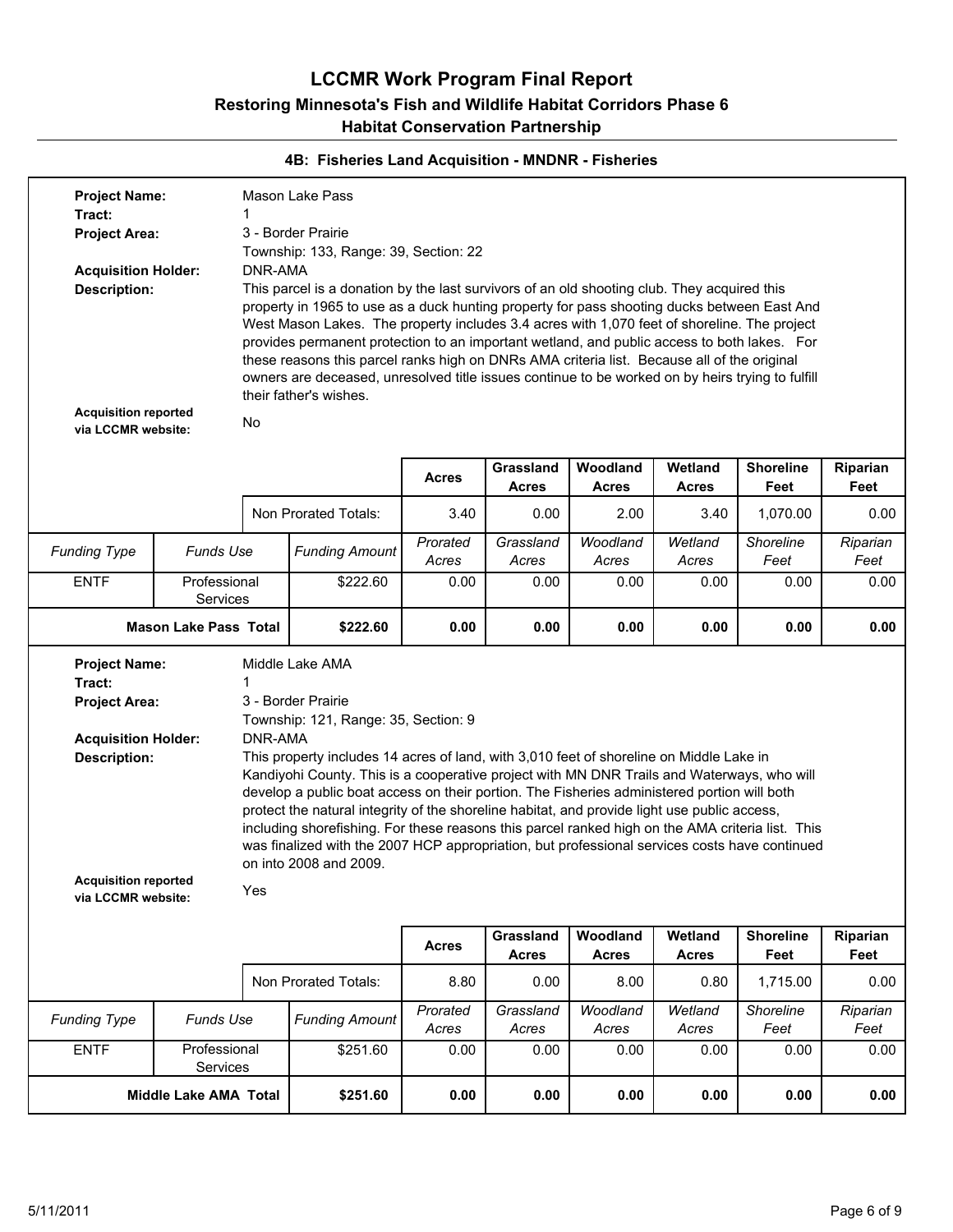| <b>Project Name:</b><br>Tract:<br><b>Project Area:</b><br><b>Acquisition Holder:</b>                                                                             |                              | DNR-AMA        | Mason Lake Pass<br>3 - Border Prairie<br>Township: 133, Range: 39, Section: 22                                                                                                                                                                                                                                                                                                                                                                                                                                                                                                                                                                                                                       |                   |                           |                          |                         |                          |                  |
|------------------------------------------------------------------------------------------------------------------------------------------------------------------|------------------------------|----------------|------------------------------------------------------------------------------------------------------------------------------------------------------------------------------------------------------------------------------------------------------------------------------------------------------------------------------------------------------------------------------------------------------------------------------------------------------------------------------------------------------------------------------------------------------------------------------------------------------------------------------------------------------------------------------------------------------|-------------------|---------------------------|--------------------------|-------------------------|--------------------------|------------------|
| <b>Description:</b><br><b>Acquisition reported</b><br>via LCCMR website:                                                                                         |                              | No             | This parcel is a donation by the last survivors of an old shooting club. They acquired this<br>property in 1965 to use as a duck hunting property for pass shooting ducks between East And<br>West Mason Lakes. The property includes 3.4 acres with 1,070 feet of shoreline. The project<br>provides permanent protection to an important wetland, and public access to both lakes. For<br>these reasons this parcel ranks high on DNRs AMA criteria list. Because all of the original<br>owners are deceased, unresolved title issues continue to be worked on by heirs trying to fulfill<br>their father's wishes.                                                                                |                   |                           |                          |                         |                          |                  |
|                                                                                                                                                                  |                              |                |                                                                                                                                                                                                                                                                                                                                                                                                                                                                                                                                                                                                                                                                                                      | <b>Acres</b>      | Grassland<br><b>Acres</b> | Woodland<br><b>Acres</b> | Wetland<br><b>Acres</b> | <b>Shoreline</b><br>Feet | Riparian<br>Feet |
|                                                                                                                                                                  |                              |                | Non Prorated Totals:                                                                                                                                                                                                                                                                                                                                                                                                                                                                                                                                                                                                                                                                                 | 3.40              | 0.00                      | 2.00                     | 3.40                    | 1,070.00                 | 0.00             |
| <b>Funding Type</b>                                                                                                                                              | <b>Funds Use</b>             |                | <b>Funding Amount</b>                                                                                                                                                                                                                                                                                                                                                                                                                                                                                                                                                                                                                                                                                | Prorated<br>Acres | Grassland<br>Acres        | Woodland<br>Acres        | Wetland<br>Acres        | Shoreline<br>Feet        | Riparian<br>Feet |
| <b>ENTF</b>                                                                                                                                                      | Professional<br>Services     |                | \$222.60                                                                                                                                                                                                                                                                                                                                                                                                                                                                                                                                                                                                                                                                                             | 0.00              | 0.00                      | 0.00                     | 0.00                    | 0.00                     | 0.00             |
|                                                                                                                                                                  | <b>Mason Lake Pass Total</b> |                | \$222.60                                                                                                                                                                                                                                                                                                                                                                                                                                                                                                                                                                                                                                                                                             | 0.00              | 0.00                      | 0.00                     | 0.00                    | 0.00                     | 0.00             |
| <b>Project Name:</b><br>Tract:<br><b>Project Area:</b><br><b>Acquisition Holder:</b><br><b>Description:</b><br><b>Acquisition reported</b><br>via LCCMR website: |                              | DNR-AMA<br>Yes | Middle Lake AMA<br>3 - Border Prairie<br>Township: 121, Range: 35, Section: 9<br>This property includes 14 acres of land, with 3,010 feet of shoreline on Middle Lake in<br>Kandiyohi County. This is a cooperative project with MN DNR Trails and Waterways, who will<br>develop a public boat access on their portion. The Fisheries administered portion will both<br>protect the natural integrity of the shoreline habitat, and provide light use public access,<br>including shorefishing. For these reasons this parcel ranked high on the AMA criteria list. This<br>was finalized with the 2007 HCP appropriation, but professional services costs have continued<br>on into 2008 and 2009. |                   |                           |                          |                         |                          |                  |
|                                                                                                                                                                  |                              |                |                                                                                                                                                                                                                                                                                                                                                                                                                                                                                                                                                                                                                                                                                                      | <b>Acres</b>      | Grassland<br><b>Acres</b> | Woodland<br><b>Acres</b> | Wetland<br><b>Acres</b> | <b>Shoreline</b><br>Feet | Riparian<br>Feet |
|                                                                                                                                                                  |                              |                | Non Prorated Totals:                                                                                                                                                                                                                                                                                                                                                                                                                                                                                                                                                                                                                                                                                 | 8.80              | 0.00                      | 8.00                     | 0.80                    | 1,715.00                 | 0.00             |
| <b>Funding Type</b>                                                                                                                                              | <b>Funds Use</b>             |                | <b>Funding Amount</b>                                                                                                                                                                                                                                                                                                                                                                                                                                                                                                                                                                                                                                                                                | Prorated<br>Acres | Grassland<br>Acres        | Woodland<br>Acres        | Wetland<br>Acres        | Shoreline<br>Feet        | Riparian<br>Feet |
| <b>ENTF</b>                                                                                                                                                      | Professional<br>Services     |                | \$251.60                                                                                                                                                                                                                                                                                                                                                                                                                                                                                                                                                                                                                                                                                             | 0.00              | 0.00                      | 0.00                     | 0.00                    | 0.00                     | 0.00             |
|                                                                                                                                                                  | Middle Lake AMA Total        |                | \$251.60                                                                                                                                                                                                                                                                                                                                                                                                                                                                                                                                                                                                                                                                                             | 0.00              | 0.00                      | 0.00                     | 0.00                    | 0.00                     | 0.00             |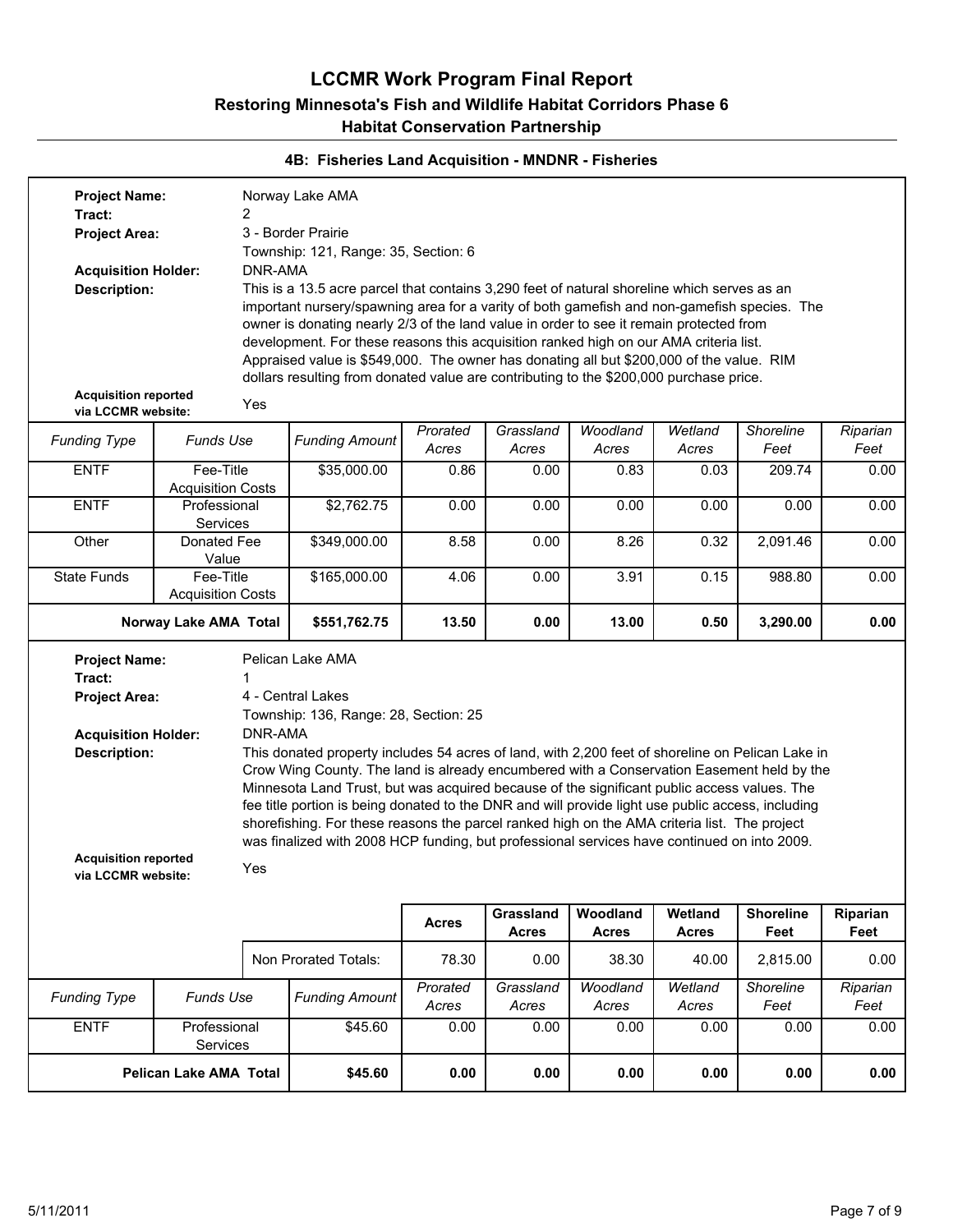| <b>Funding Type</b><br><b>ENTF</b>                | Funds Use<br>Professional<br>Services<br><b>Pelican Lake AMA Total</b> |                                                                                                        | \$45.60<br>\$45.60                                                                                                                                                                          | Acres<br>0.00<br>0.00 | 0.00<br>0.00              | 0.00<br>0.00             | 0.00<br>0.00            | 0.00<br>0.00             | 0.00<br>0.00     |  |
|---------------------------------------------------|------------------------------------------------------------------------|--------------------------------------------------------------------------------------------------------|---------------------------------------------------------------------------------------------------------------------------------------------------------------------------------------------|-----------------------|---------------------------|--------------------------|-------------------------|--------------------------|------------------|--|
|                                                   |                                                                        |                                                                                                        |                                                                                                                                                                                             |                       |                           |                          |                         |                          |                  |  |
|                                                   |                                                                        |                                                                                                        |                                                                                                                                                                                             |                       | Acres                     | Acres                    | Acres                   | Feet                     | Feet             |  |
|                                                   |                                                                        |                                                                                                        | <b>Funding Amount</b>                                                                                                                                                                       | Prorated              | Grassland                 | Woodland                 | Wetland                 | Shoreline                | Riparian         |  |
|                                                   |                                                                        |                                                                                                        | Non Prorated Totals:                                                                                                                                                                        | 78.30                 | 0.00                      | 38.30                    | 40.00                   | 2,815.00                 | 0.00             |  |
|                                                   |                                                                        |                                                                                                        |                                                                                                                                                                                             | <b>Acres</b>          | Grassland<br><b>Acres</b> | Woodland<br><b>Acres</b> | Wetland<br><b>Acres</b> | <b>Shoreline</b><br>Feet | Riparian<br>Feet |  |
|                                                   |                                                                        |                                                                                                        |                                                                                                                                                                                             |                       |                           |                          |                         |                          |                  |  |
| <b>Acquisition reported</b><br>via LCCMR website: |                                                                        | Yes                                                                                                    |                                                                                                                                                                                             |                       |                           |                          |                         |                          |                  |  |
|                                                   |                                                                        |                                                                                                        | shorefishing. For these reasons the parcel ranked high on the AMA criteria list. The project<br>was finalized with 2008 HCP funding, but professional services have continued on into 2009. |                       |                           |                          |                         |                          |                  |  |
|                                                   |                                                                        |                                                                                                        | fee title portion is being donated to the DNR and will provide light use public access, including                                                                                           |                       |                           |                          |                         |                          |                  |  |
|                                                   |                                                                        |                                                                                                        | Crow Wing County. The land is already encumbered with a Conservation Easement held by the<br>Minnesota Land Trust, but was acquired because of the significant public access values. The    |                       |                           |                          |                         |                          |                  |  |
| <b>Description:</b>                               |                                                                        |                                                                                                        | This donated property includes 54 acres of land, with 2,200 feet of shoreline on Pelican Lake in                                                                                            |                       |                           |                          |                         |                          |                  |  |
| <b>Acquisition Holder:</b>                        |                                                                        | Township: 136, Range: 28, Section: 25<br>DNR-AMA                                                       |                                                                                                                                                                                             |                       |                           |                          |                         |                          |                  |  |
| <b>Project Area:</b>                              |                                                                        |                                                                                                        | 4 - Central Lakes                                                                                                                                                                           |                       |                           |                          |                         |                          |                  |  |
| Tract:                                            |                                                                        |                                                                                                        |                                                                                                                                                                                             |                       |                           |                          |                         |                          |                  |  |
| <b>Project Name:</b>                              |                                                                        |                                                                                                        | Pelican Lake AMA                                                                                                                                                                            |                       |                           |                          |                         |                          |                  |  |
|                                                   | Norway Lake AMA Total                                                  |                                                                                                        | \$551,762.75                                                                                                                                                                                | 13.50                 | 0.00                      | 13.00                    | 0.50                    | 3,290.00                 | 0.00             |  |
| <b>State Funds</b>                                | Fee-Title<br><b>Acquisition Costs</b>                                  |                                                                                                        | \$165,000.00                                                                                                                                                                                | 4.06                  | 0.00                      | 3.91                     | 0.15                    | 988.80                   | 0.00             |  |
|                                                   | Value                                                                  |                                                                                                        |                                                                                                                                                                                             |                       |                           |                          |                         |                          |                  |  |
| Other                                             | <b>Services</b><br>Donated Fee                                         |                                                                                                        | \$349,000.00                                                                                                                                                                                | 8.58                  | 0.00                      | 8.26                     | 0.32                    | 2,091.46                 | 0.00             |  |
| <b>ENTF</b>                                       | Professional                                                           |                                                                                                        | \$2,762.75                                                                                                                                                                                  | 0.00                  | 0.00                      | 0.00                     | 0.00                    | 0.00                     | 0.00             |  |
| <b>ENTF</b>                                       | Fee-Title<br><b>Acquisition Costs</b>                                  |                                                                                                        | \$35,000.00                                                                                                                                                                                 | 0.86                  | 0.00                      | 0.83                     | 0.03                    | 209.74                   | 0.00             |  |
| <b>Funding Type</b>                               | Funds Use                                                              |                                                                                                        | <b>Funding Amount</b>                                                                                                                                                                       | Prorated<br>Acres     | Grassland<br>Acres        | Woodland<br>Acres        | Wetland<br>Acres        | Shoreline<br>Feet        | Riparian<br>Feet |  |
| Yes<br>via LCCMR website:                         |                                                                        |                                                                                                        |                                                                                                                                                                                             |                       |                           |                          |                         |                          |                  |  |
| <b>Acquisition reported</b>                       |                                                                        |                                                                                                        | dollars resulting from donated value are contributing to the \$200,000 purchase price.                                                                                                      |                       |                           |                          |                         |                          |                  |  |
|                                                   |                                                                        |                                                                                                        | Appraised value is \$549,000. The owner has donating all but \$200,000 of the value. RIM                                                                                                    |                       |                           |                          |                         |                          |                  |  |
|                                                   |                                                                        |                                                                                                        | owner is donating nearly 2/3 of the land value in order to see it remain protected from<br>development. For these reasons this acquisition ranked high on our AMA criteria list.            |                       |                           |                          |                         |                          |                  |  |
|                                                   |                                                                        |                                                                                                        | important nursery/spawning area for a varity of both gamefish and non-gamefish species. The                                                                                                 |                       |                           |                          |                         |                          |                  |  |
| <b>Acquisition Holder:</b><br><b>Description:</b> |                                                                        | DNR-AMA<br>This is a 13.5 acre parcel that contains 3,290 feet of natural shoreline which serves as an |                                                                                                                                                                                             |                       |                           |                          |                         |                          |                  |  |
|                                                   |                                                                        |                                                                                                        | Township: 121, Range: 35, Section: 6                                                                                                                                                        |                       |                           |                          |                         |                          |                  |  |
|                                                   |                                                                        | 2                                                                                                      | 3 - Border Prairie                                                                                                                                                                          |                       |                           |                          |                         |                          |                  |  |
| Tract:<br><b>Project Area:</b>                    |                                                                        |                                                                                                        |                                                                                                                                                                                             |                       |                           |                          |                         |                          |                  |  |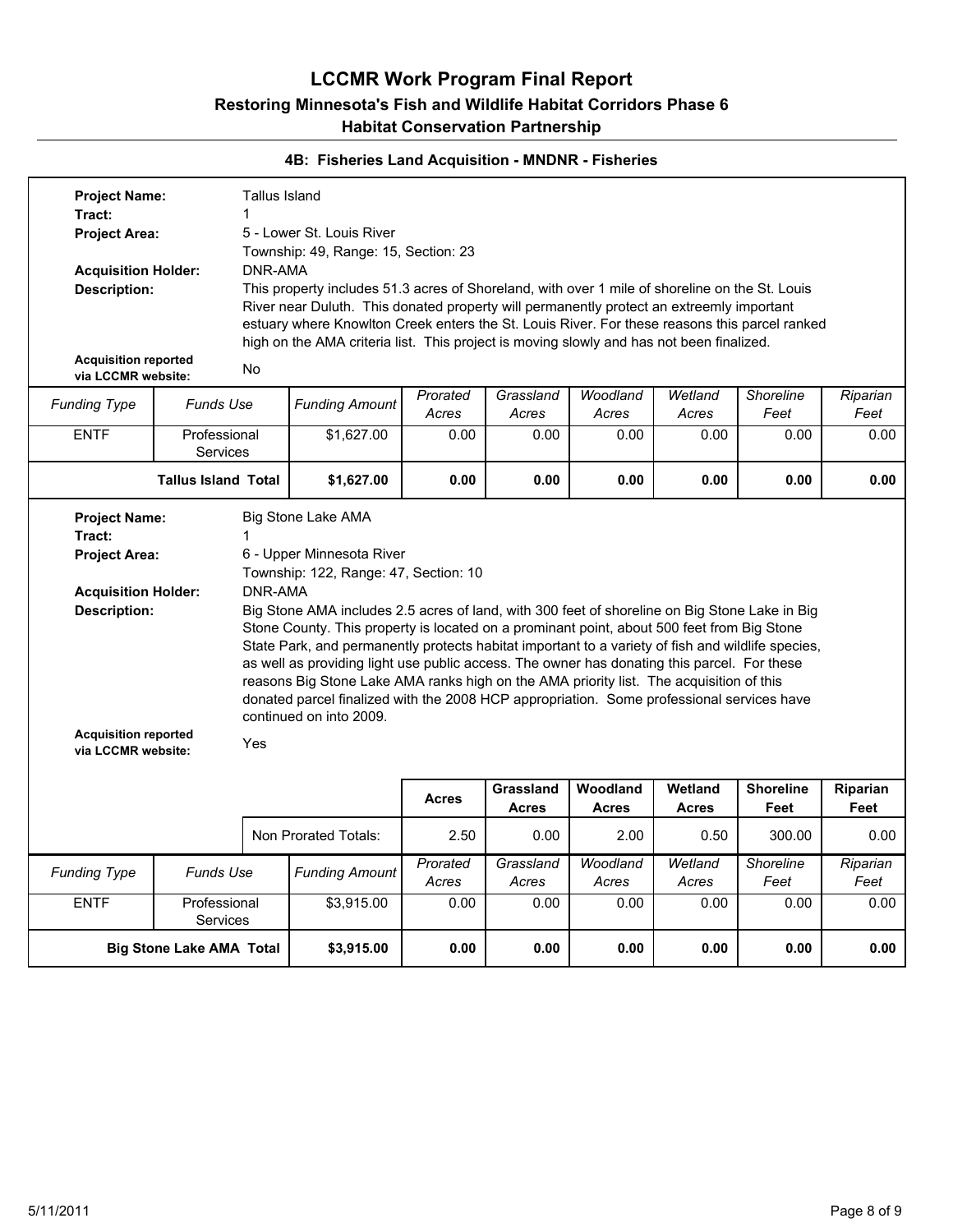| <b>Project Name:</b>                                                                                   |                                  | <b>Tallus Island</b> |                                                                                                                                                                                                                                                                                                                                                                                                                                                                                                                                                                                                                                                             |          |                           |                          |                         |                          |                  |
|--------------------------------------------------------------------------------------------------------|----------------------------------|----------------------|-------------------------------------------------------------------------------------------------------------------------------------------------------------------------------------------------------------------------------------------------------------------------------------------------------------------------------------------------------------------------------------------------------------------------------------------------------------------------------------------------------------------------------------------------------------------------------------------------------------------------------------------------------------|----------|---------------------------|--------------------------|-------------------------|--------------------------|------------------|
| Tract:                                                                                                 |                                  | 1                    |                                                                                                                                                                                                                                                                                                                                                                                                                                                                                                                                                                                                                                                             |          |                           |                          |                         |                          |                  |
| <b>Project Area:</b>                                                                                   |                                  |                      | 5 - Lower St. Louis River                                                                                                                                                                                                                                                                                                                                                                                                                                                                                                                                                                                                                                   |          |                           |                          |                         |                          |                  |
|                                                                                                        |                                  |                      | Township: 49, Range: 15, Section: 23                                                                                                                                                                                                                                                                                                                                                                                                                                                                                                                                                                                                                        |          |                           |                          |                         |                          |                  |
| <b>Acquisition Holder:</b>                                                                             |                                  | DNR-AMA              |                                                                                                                                                                                                                                                                                                                                                                                                                                                                                                                                                                                                                                                             |          |                           |                          |                         |                          |                  |
| <b>Description:</b>                                                                                    |                                  |                      | This property includes 51.3 acres of Shoreland, with over 1 mile of shoreline on the St. Louis                                                                                                                                                                                                                                                                                                                                                                                                                                                                                                                                                              |          |                           |                          |                         |                          |                  |
|                                                                                                        |                                  |                      | River near Duluth. This donated property will permanently protect an extreemly important                                                                                                                                                                                                                                                                                                                                                                                                                                                                                                                                                                    |          |                           |                          |                         |                          |                  |
|                                                                                                        |                                  |                      | estuary where Knowlton Creek enters the St. Louis River. For these reasons this parcel ranked                                                                                                                                                                                                                                                                                                                                                                                                                                                                                                                                                               |          |                           |                          |                         |                          |                  |
|                                                                                                        |                                  |                      | high on the AMA criteria list. This project is moving slowly and has not been finalized.                                                                                                                                                                                                                                                                                                                                                                                                                                                                                                                                                                    |          |                           |                          |                         |                          |                  |
| <b>Acquisition reported</b>                                                                            |                                  |                      |                                                                                                                                                                                                                                                                                                                                                                                                                                                                                                                                                                                                                                                             |          |                           |                          |                         |                          |                  |
| via LCCMR website:                                                                                     |                                  | No                   |                                                                                                                                                                                                                                                                                                                                                                                                                                                                                                                                                                                                                                                             |          |                           |                          |                         |                          |                  |
|                                                                                                        | <b>Funds Use</b>                 |                      | <b>Funding Amount</b>                                                                                                                                                                                                                                                                                                                                                                                                                                                                                                                                                                                                                                       | Prorated | Grassland                 | Woodland                 | Wetland                 | <b>Shoreline</b>         | Riparian         |
| <b>Funding Type</b>                                                                                    |                                  |                      |                                                                                                                                                                                                                                                                                                                                                                                                                                                                                                                                                                                                                                                             | Acres    | Acres                     | Acres                    | Acres                   | Feet                     | Feet             |
| <b>ENTF</b>                                                                                            | Professional                     |                      | \$1,627.00                                                                                                                                                                                                                                                                                                                                                                                                                                                                                                                                                                                                                                                  | 0.00     | 0.00                      | 0.00                     | 0.00                    | 0.00                     | 0.00             |
|                                                                                                        | Services                         |                      |                                                                                                                                                                                                                                                                                                                                                                                                                                                                                                                                                                                                                                                             |          |                           |                          |                         |                          |                  |
|                                                                                                        | <b>Tallus Island Total</b>       |                      | \$1,627.00                                                                                                                                                                                                                                                                                                                                                                                                                                                                                                                                                                                                                                                  | 0.00     | 0.00                      | 0.00                     | 0.00                    | 0.00                     | 0.00             |
|                                                                                                        |                                  |                      |                                                                                                                                                                                                                                                                                                                                                                                                                                                                                                                                                                                                                                                             |          |                           |                          |                         |                          |                  |
| <b>Acquisition Holder:</b><br><b>Description:</b><br><b>Acquisition reported</b><br>via LCCMR website: |                                  | DNR-AMA<br>Yes       | Township: 122, Range: 47, Section: 10<br>Big Stone AMA includes 2.5 acres of land, with 300 feet of shoreline on Big Stone Lake in Big<br>Stone County. This property is located on a prominant point, about 500 feet from Big Stone<br>State Park, and permanently protects habitat important to a variety of fish and wildlife species,<br>as well as providing light use public access. The owner has donating this parcel. For these<br>reasons Big Stone Lake AMA ranks high on the AMA priority list. The acquisition of this<br>donated parcel finalized with the 2008 HCP appropriation. Some professional services have<br>continued on into 2009. |          |                           |                          |                         |                          |                  |
|                                                                                                        |                                  |                      |                                                                                                                                                                                                                                                                                                                                                                                                                                                                                                                                                                                                                                                             | Acres    | Grassland<br><b>Acres</b> | Woodland<br><b>Acres</b> | Wetland<br><b>Acres</b> | <b>Shoreline</b><br>Feet | Riparian<br>Feet |
|                                                                                                        |                                  |                      | Non Prorated Totals:                                                                                                                                                                                                                                                                                                                                                                                                                                                                                                                                                                                                                                        | 2.50     | 0.00                      | 2.00                     | 0.50                    | 300.00                   | 0.00             |
|                                                                                                        |                                  |                      |                                                                                                                                                                                                                                                                                                                                                                                                                                                                                                                                                                                                                                                             | Prorated | Grassland                 | Woodland                 | Wetland                 | Shoreline                | Riparian         |
|                                                                                                        | Funds Use<br><b>Funding Type</b> |                      | <b>Funding Amount</b>                                                                                                                                                                                                                                                                                                                                                                                                                                                                                                                                                                                                                                       | Acres    | Acres                     | Acres                    | Acres                   | Feet                     | Feet             |
| <b>ENTF</b>                                                                                            | Professional                     |                      | \$3,915.00                                                                                                                                                                                                                                                                                                                                                                                                                                                                                                                                                                                                                                                  | 0.00     | 0.00                      | 0.00                     | 0.00                    | 0.00                     | 0.00             |
|                                                                                                        | Services                         |                      |                                                                                                                                                                                                                                                                                                                                                                                                                                                                                                                                                                                                                                                             |          |                           |                          |                         |                          |                  |
|                                                                                                        | <b>Big Stone Lake AMA Total</b>  |                      | \$3,915.00                                                                                                                                                                                                                                                                                                                                                                                                                                                                                                                                                                                                                                                  | 0.00     | 0.00                      | 0.00                     | 0.00                    | 0.00                     | 0.00             |
|                                                                                                        |                                  |                      |                                                                                                                                                                                                                                                                                                                                                                                                                                                                                                                                                                                                                                                             |          |                           |                          |                         |                          |                  |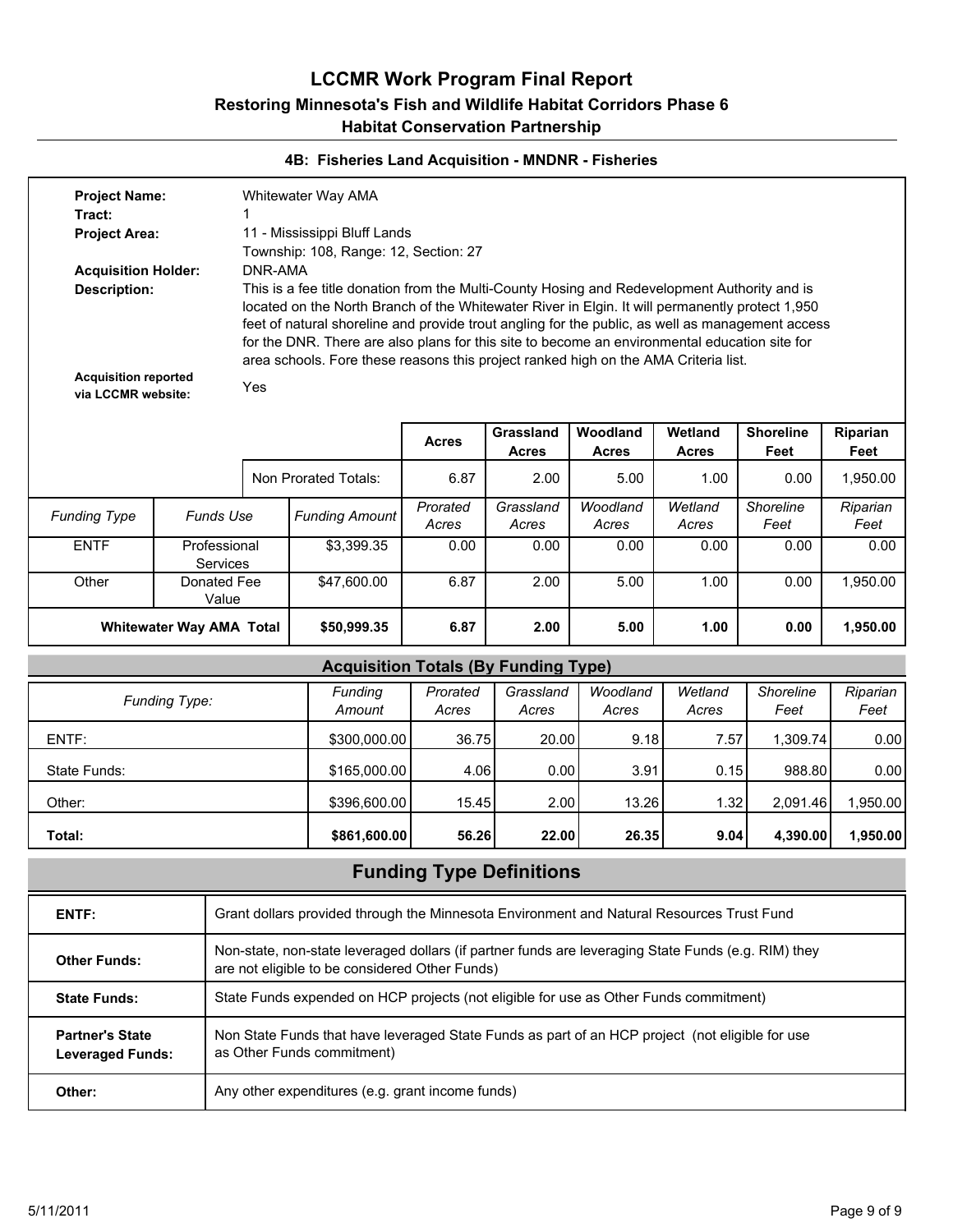#### **4B: Fisheries Land Acquisition - MNDNR - Fisheries**

| <b>Project Name:</b><br>Tract:                                                                         |                                 |     | Whitewater Way AMA                                                                                                                                                                                                                                                                                                                                                                                                                                                                                     |                   |                           |                          |                         |                          |                  |  |  |  |
|--------------------------------------------------------------------------------------------------------|---------------------------------|-----|--------------------------------------------------------------------------------------------------------------------------------------------------------------------------------------------------------------------------------------------------------------------------------------------------------------------------------------------------------------------------------------------------------------------------------------------------------------------------------------------------------|-------------------|---------------------------|--------------------------|-------------------------|--------------------------|------------------|--|--|--|
| <b>Project Area:</b>                                                                                   |                                 |     | 11 - Mississippi Bluff Lands<br>Township: 108, Range: 12, Section: 27                                                                                                                                                                                                                                                                                                                                                                                                                                  |                   |                           |                          |                         |                          |                  |  |  |  |
| <b>Acquisition Holder:</b><br><b>Description:</b><br><b>Acquisition reported</b><br>via LCCMR website: |                                 | Yes | DNR-AMA<br>This is a fee title donation from the Multi-County Hosing and Redevelopment Authority and is<br>located on the North Branch of the Whitewater River in Elgin. It will permanently protect 1,950<br>feet of natural shoreline and provide trout angling for the public, as well as management access<br>for the DNR. There are also plans for this site to become an environmental education site for<br>area schools. Fore these reasons this project ranked high on the AMA Criteria list. |                   |                           |                          |                         |                          |                  |  |  |  |
|                                                                                                        |                                 |     |                                                                                                                                                                                                                                                                                                                                                                                                                                                                                                        |                   |                           |                          |                         |                          |                  |  |  |  |
|                                                                                                        |                                 |     |                                                                                                                                                                                                                                                                                                                                                                                                                                                                                                        | <b>Acres</b>      | Grassland<br><b>Acres</b> | Woodland<br><b>Acres</b> | Wetland<br><b>Acres</b> | <b>Shoreline</b><br>Feet | Riparian<br>Feet |  |  |  |
|                                                                                                        |                                 |     | Non Prorated Totals:                                                                                                                                                                                                                                                                                                                                                                                                                                                                                   | 6.87              | 2.00                      | 5.00                     | 1.00                    | 0.00                     | 1,950.00         |  |  |  |
| <b>Funding Type</b>                                                                                    | <b>Funds Use</b>                |     | <b>Funding Amount</b>                                                                                                                                                                                                                                                                                                                                                                                                                                                                                  | Prorated<br>Acres | Grassland<br>Acres        | Woodland<br>Acres        | Wetland<br>Acres        | Shoreline<br>Feet        | Riparian<br>Feet |  |  |  |
| <b>ENTF</b>                                                                                            | Professional<br><b>Services</b> |     | \$3,399.35                                                                                                                                                                                                                                                                                                                                                                                                                                                                                             | 0.00              | 0.00                      | 0.00                     | 0.00                    | 0.00                     | 0.00             |  |  |  |
| Other                                                                                                  | Donated Fee<br>Value            |     | \$47,600.00                                                                                                                                                                                                                                                                                                                                                                                                                                                                                            | 6.87              | 2.00                      | 5.00                     | 1.00                    | 0.00                     | 1,950.00         |  |  |  |
|                                                                                                        | Whitewater Way AMA Total        |     |                                                                                                                                                                                                                                                                                                                                                                                                                                                                                                        | 6.87              | 2.00                      | 5.00                     | 1.00                    | 0.00                     | 1,950.00         |  |  |  |
|                                                                                                        |                                 |     | <b>Acquisition Totals (By Funding Type)</b>                                                                                                                                                                                                                                                                                                                                                                                                                                                            |                   |                           |                          |                         |                          |                  |  |  |  |
|                                                                                                        | Funding Type:                   |     | Funding<br>Amount                                                                                                                                                                                                                                                                                                                                                                                                                                                                                      | Prorated<br>Acres | Grassland<br>Acres        | Woodland<br>Acres        | Wetland<br>Acres        | Shoreline<br>Feet        | Riparian<br>Feet |  |  |  |
| ENTF:                                                                                                  |                                 |     | \$300,000.00                                                                                                                                                                                                                                                                                                                                                                                                                                                                                           | 36.75             | 20.00                     | 9.18                     | 7.57                    | 1,309.74                 | 0.00             |  |  |  |
| State Funds:                                                                                           |                                 |     | \$165,000.00                                                                                                                                                                                                                                                                                                                                                                                                                                                                                           | 4.06              | 0.00                      | 3.91                     | 0.15                    | 988.80                   | 0.00             |  |  |  |
| Other:                                                                                                 |                                 |     | \$396,600.00                                                                                                                                                                                                                                                                                                                                                                                                                                                                                           | 15.45             | 2.00                      | 13.26                    | 1.32                    | 2,091.46                 | 1,950.00         |  |  |  |

## **Funding Type Definitions**

**Total: \$861,600.00 56.26 22.00 26.35 9.04 4,390.00 1,950.00**

| ENTF:                                             | Grant dollars provided through the Minnesota Environment and Natural Resources Trust Fund                                                             |
|---------------------------------------------------|-------------------------------------------------------------------------------------------------------------------------------------------------------|
| <b>Other Funds:</b>                               | Non-state, non-state leveraged dollars (if partner funds are leveraging State Funds (e.g. RIM) they<br>are not eligible to be considered Other Funds) |
| <b>State Funds:</b>                               | State Funds expended on HCP projects (not eligible for use as Other Funds commitment)                                                                 |
| <b>Partner's State</b><br><b>Leveraged Funds:</b> | Non State Funds that have leveraged State Funds as part of an HCP project (not eligible for use<br>as Other Funds commitment)                         |
| Other:                                            | Any other expenditures (e.g. grant income funds)                                                                                                      |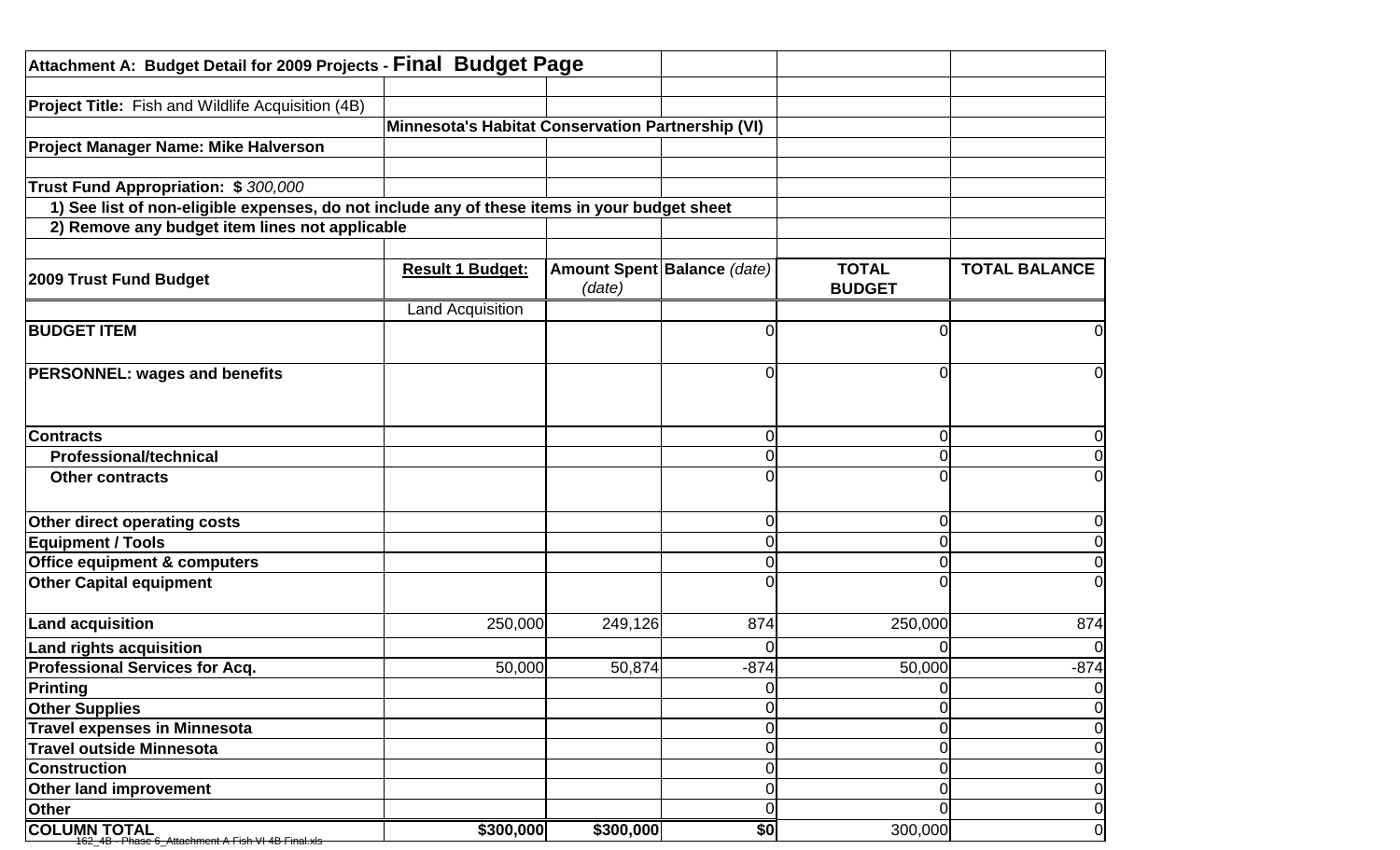| Attachment A: Budget Detail for 2009 Projects - Final Budget Page                            |                                                   |           |                             |               |                      |
|----------------------------------------------------------------------------------------------|---------------------------------------------------|-----------|-----------------------------|---------------|----------------------|
| <b>Project Title:</b> Fish and Wildlife Acquisition (4B)                                     |                                                   |           |                             |               |                      |
|                                                                                              | Minnesota's Habitat Conservation Partnership (VI) |           |                             |               |                      |
| Project Manager Name: Mike Halverson                                                         |                                                   |           |                             |               |                      |
|                                                                                              |                                                   |           |                             |               |                      |
| Trust Fund Appropriation: \$300,000                                                          |                                                   |           |                             |               |                      |
| 1) See list of non-eligible expenses, do not include any of these items in your budget sheet |                                                   |           |                             |               |                      |
| 2) Remove any budget item lines not applicable                                               |                                                   |           |                             |               |                      |
|                                                                                              |                                                   |           |                             |               |                      |
|                                                                                              | <b>Result 1 Budget:</b>                           |           | Amount Spent Balance (date) | <b>TOTAL</b>  | <b>TOTAL BALANCE</b> |
| <b>2009 Trust Fund Budget</b>                                                                |                                                   | (date)    |                             | <b>BUDGET</b> |                      |
|                                                                                              | <b>Land Acquisition</b>                           |           |                             |               |                      |
| <b>BUDGET ITEM</b>                                                                           |                                                   |           |                             |               | 0                    |
|                                                                                              |                                                   |           |                             |               |                      |
| <b>PERSONNEL: wages and benefits</b>                                                         |                                                   |           |                             |               | $\Omega$             |
|                                                                                              |                                                   |           |                             |               |                      |
|                                                                                              |                                                   |           |                             |               |                      |
| <b>Contracts</b>                                                                             |                                                   |           |                             |               | 0                    |
| <b>Professional/technical</b>                                                                |                                                   |           |                             |               | $\Omega$             |
| <b>Other contracts</b>                                                                       |                                                   |           |                             |               | $\overline{0}$       |
|                                                                                              |                                                   |           |                             |               |                      |
| Other direct operating costs                                                                 |                                                   |           |                             |               | $\overline{0}$       |
| <b>Equipment / Tools</b>                                                                     |                                                   |           |                             |               | $\overline{0}$       |
| <b>Office equipment &amp; computers</b>                                                      |                                                   |           |                             |               | $\overline{0}$       |
| <b>Other Capital equipment</b>                                                               |                                                   |           |                             |               | $\overline{0}$       |
|                                                                                              |                                                   |           |                             |               |                      |
| <b>Land acquisition</b>                                                                      | 250,000                                           | 249,126   | 874                         | 250,000       | 874                  |
| <b>Land rights acquisition</b>                                                               |                                                   |           |                             |               | $\overline{0}$       |
| <b>Professional Services for Acq.</b>                                                        | 50,000                                            | 50,874    | $-874$                      | 50,000        | $-874$               |
| <b>Printing</b>                                                                              |                                                   |           |                             |               | $\overline{O}$       |
| <b>Other Supplies</b>                                                                        |                                                   |           |                             |               | $\overline{O}$       |
| <b>Travel expenses in Minnesota</b>                                                          |                                                   |           |                             | O             | $\overline{O}$       |
| <b>Travel outside Minnesota</b>                                                              |                                                   |           |                             |               | $\overline{O}$       |
| <b>Construction</b>                                                                          |                                                   |           |                             |               | $\overline{0}$       |
| Other land improvement                                                                       |                                                   |           |                             |               | $\overline{0}$       |
| Other                                                                                        |                                                   |           |                             |               | $\overline{0}$       |
| <b>COLUMN TOTAL</b><br>162_4B - Phase 6_Attachment A Fish VI 4B Final xl                     | \$300,000                                         | \$300,000 | \$0                         | 300,000       | $\overline{0}$       |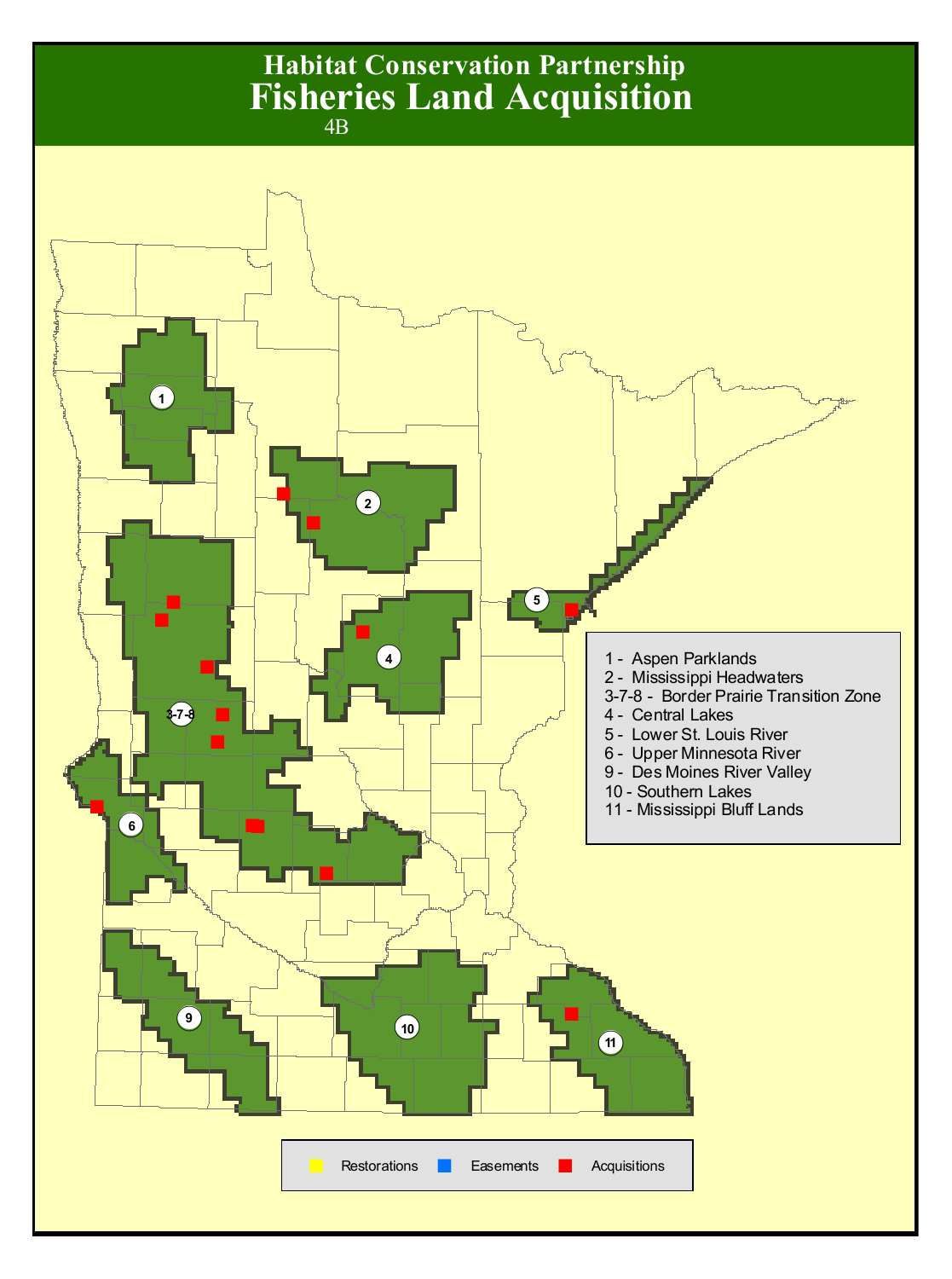# **Habitat Conservation Partnership** 4B **Fisheries Land Acquisition**

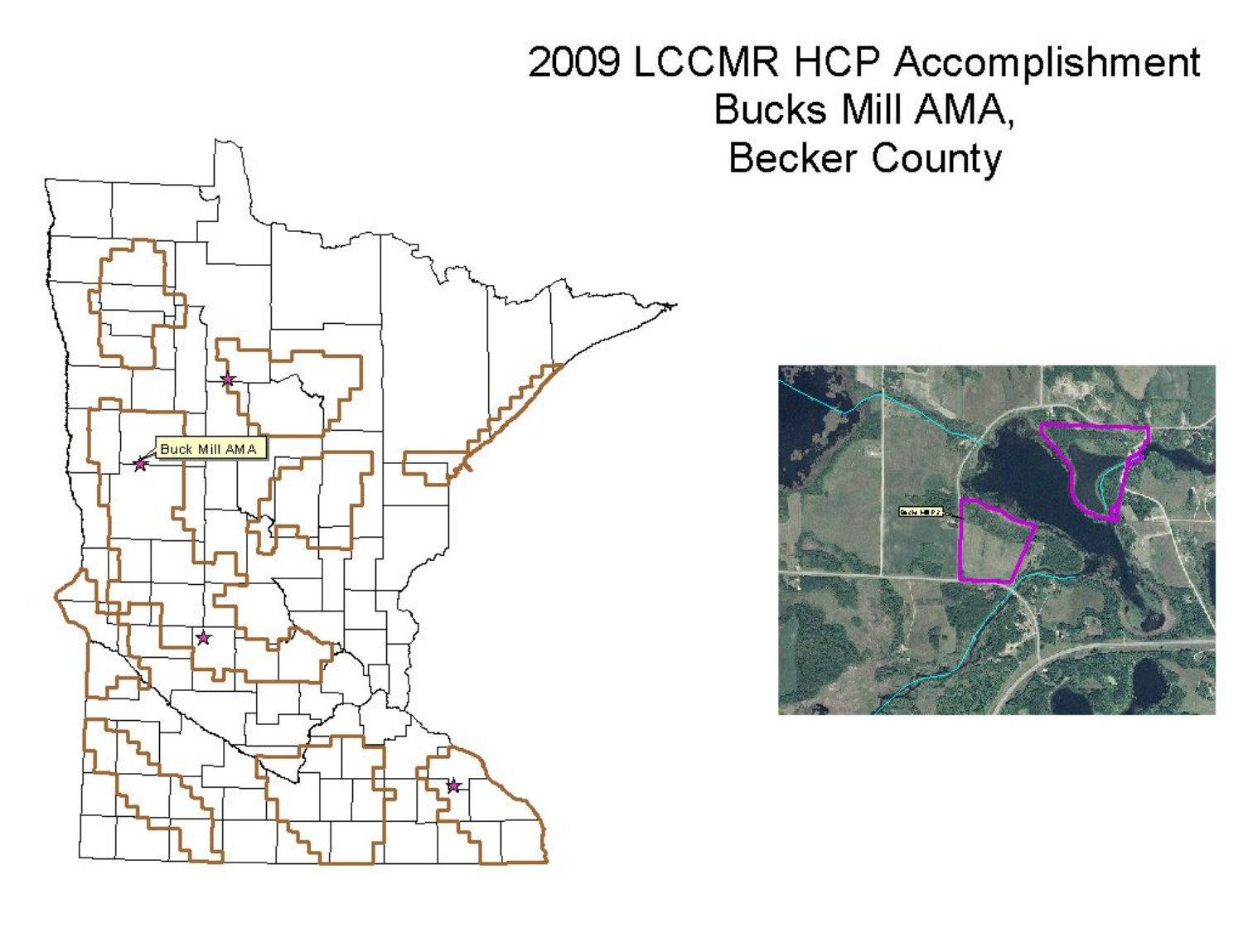# 2009 LCCMR HCP Accomplishment Bucks Mill AMA, **Becker County**



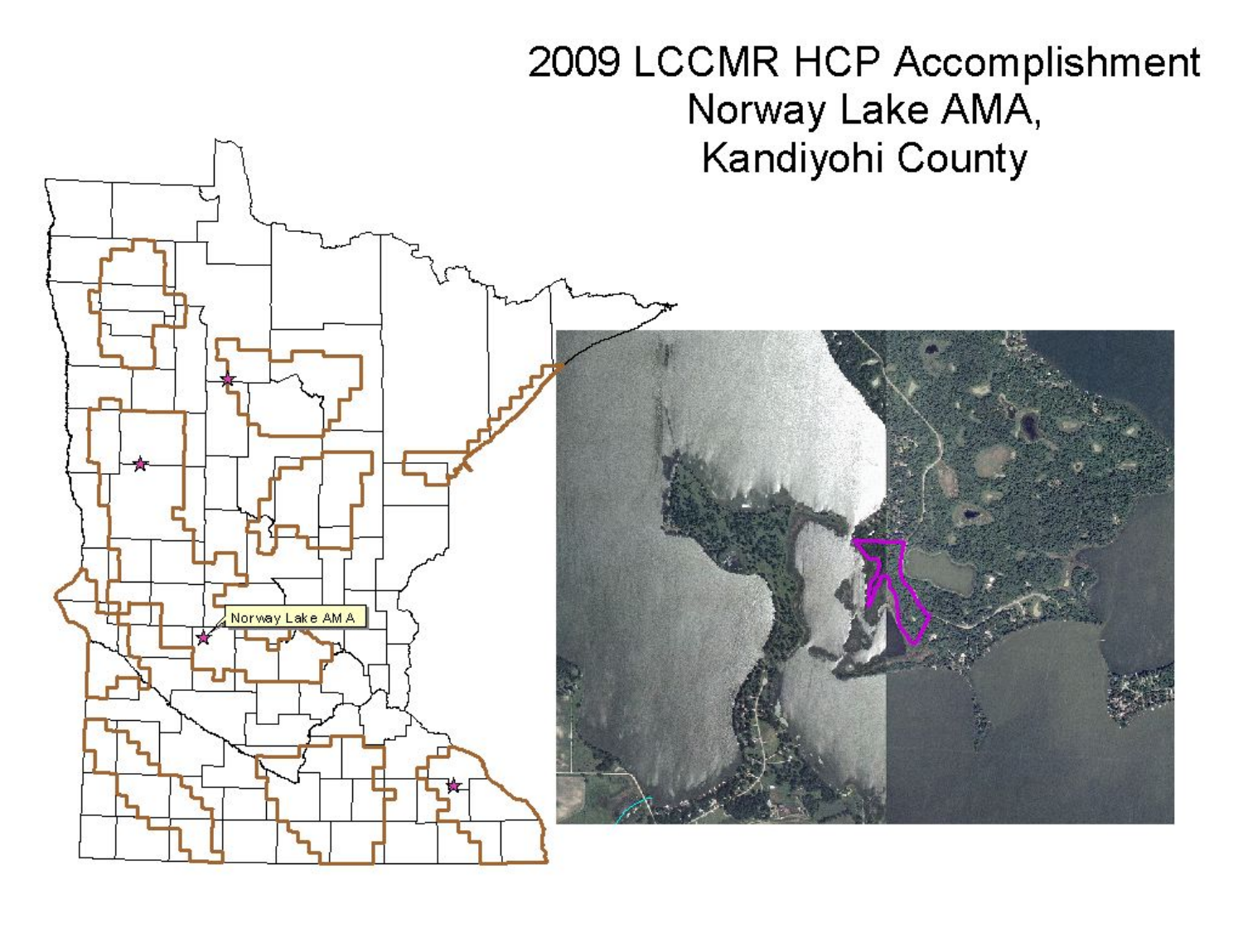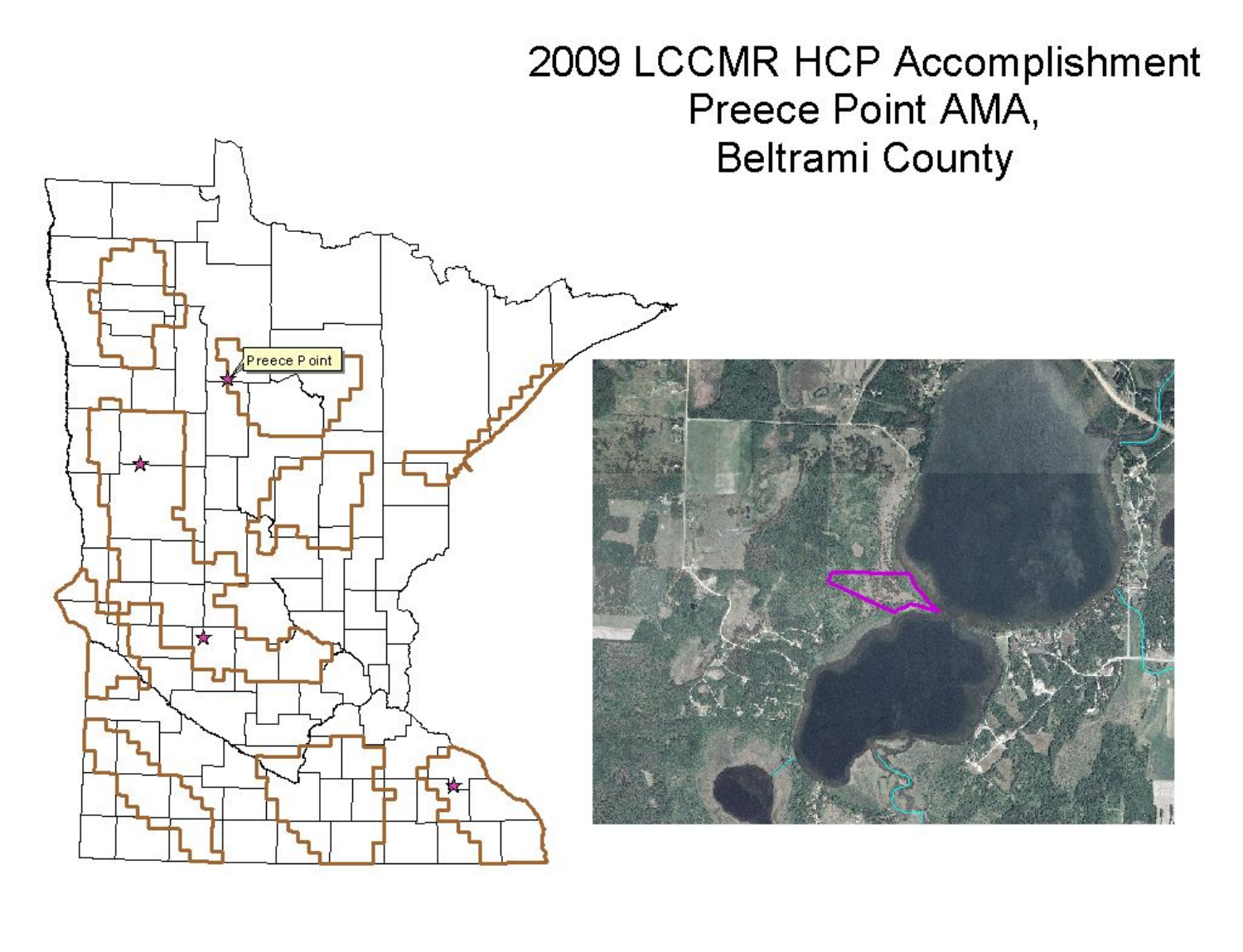